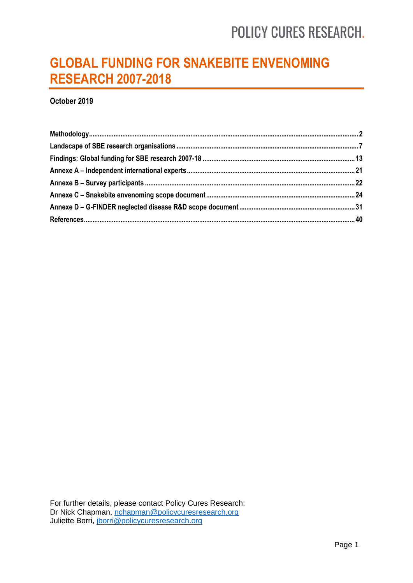## **GLOBAL FUNDING FOR SNAKEBITE ENVENOMING RESEARCH 2007-2018**

**October 2019**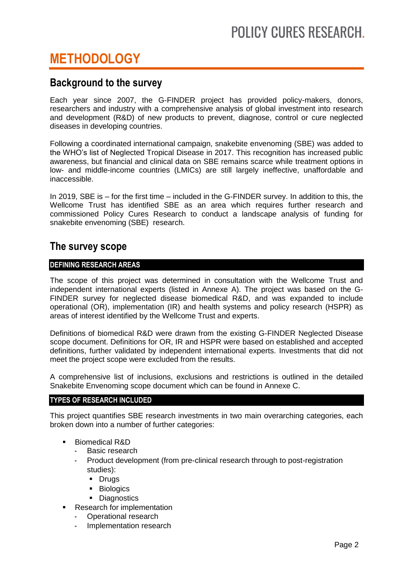## <span id="page-1-0"></span>**METHODOLOGY**

## **Background to the survey**

Each year since 2007, the G-FINDER project has provided policy-makers, donors, researchers and industry with a comprehensive analysis of global investment into research and development (R&D) of new products to prevent, diagnose, control or cure neglected diseases in developing countries.

Following a coordinated international campaign, snakebite envenoming (SBE) was added to the WHO's list of Neglected Tropical Disease in 2017. This recognition has increased public awareness, but financial and clinical data on SBE remains scarce while treatment options in low- and middle-income countries (LMICs) are still largely ineffective, unaffordable and inaccessible.

In 2019, SBE is – for the first time – included in the G-FINDER survey. In addition to this, the Wellcome Trust has identified SBE as an area which requires further research and commissioned Policy Cures Research to conduct a landscape analysis of funding for snakebite envenoming (SBE) research.

## **The survey scope**

## **DEFINING RESEARCH AREAS**

The scope of this project was determined in consultation with the Wellcome Trust and independent international experts (listed in Annexe A). The project was based on the G-FINDER survey for neglected disease biomedical R&D, and was expanded to include operational (OR), implementation (IR) and health systems and policy research (HSPR) as areas of interest identified by the Wellcome Trust and experts.

Definitions of biomedical R&D were drawn from the existing G-FINDER Neglected Disease scope document. Definitions for OR, IR and HSPR were based on established and accepted definitions, further validated by independent international experts. Investments that did not meet the project scope were excluded from the results.

A comprehensive list of inclusions, exclusions and restrictions is outlined in the detailed Snakebite Envenoming scope document which can be found in Annexe C.

### **TYPES OF RESEARCH INCLUDED**

This project quantifies SBE research investments in two main overarching categories, each broken down into a number of further categories:

- Biomedical R&D
	- Basic research
	- Product development (from pre-clinical research through to post-registration studies):
		- **-** Drugs
		- **Biologics**
		- **Diagnostics**
	- Research for implementation
	- Operational research
	- Implementation research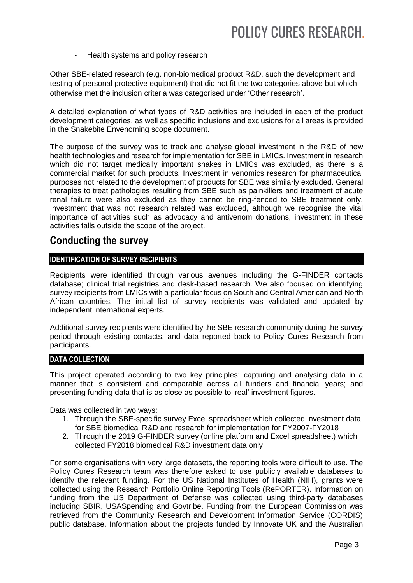#### - Health systems and policy research

Other SBE-related research (e.g. non-biomedical product R&D, such the development and testing of personal protective equipment) that did not fit the two categories above but which otherwise met the inclusion criteria was categorised under 'Other research'.

A detailed explanation of what types of R&D activities are included in each of the product development categories, as well as specific inclusions and exclusions for all areas is provided in the Snakebite Envenoming scope document.

The purpose of the survey was to track and analyse global investment in the R&D of new health technologies and research for implementation for SBE in LMICs. Investment in research which did not target medically important snakes in LMICs was excluded, as there is a commercial market for such products. Investment in venomics research for pharmaceutical purposes not related to the development of products for SBE was similarly excluded. General therapies to treat pathologies resulting from SBE such as painkillers and treatment of acute renal failure were also excluded as they cannot be ring-fenced to SBE treatment only. Investment that was not research related was excluded, although we recognise the vital importance of activities such as advocacy and antivenom donations, investment in these activities falls outside the scope of the project.

## **Conducting the survey**

### **IDENTIFICATION OF SURVEY RECIPIENTS**

Recipients were identified through various avenues including the G-FINDER contacts database; clinical trial registries and desk-based research. We also focused on identifying survey recipients from LMICs with a particular focus on South and Central American and North African countries. The initial list of survey recipients was validated and updated by independent international experts.

Additional survey recipients were identified by the SBE research community during the survey period through existing contacts, and data reported back to Policy Cures Research from participants.

### **DATA COLLECTION**

This project operated according to two key principles: capturing and analysing data in a manner that is consistent and comparable across all funders and financial years; and presenting funding data that is as close as possible to 'real' investment figures.

Data was collected in two ways:

- 1. Through the SBE-specific survey Excel spreadsheet which collected investment data for SBE biomedical R&D and research for implementation for FY2007-FY2018
- 2. Through the 2019 G-FINDER survey (online platform and Excel spreadsheet) which collected FY2018 biomedical R&D investment data only

For some organisations with very large datasets, the reporting tools were difficult to use. The Policy Cures Research team was therefore asked to use publicly available databases to identify the relevant funding. For the US National Institutes of Health (NIH), grants were collected using the Research Portfolio Online Reporting Tools (RePORTER). Information on funding from the US Department of Defense was collected using third-party databases including SBIR, USASpending and Govtribe. Funding from the European Commission was retrieved from the Community Research and Development Information Service (CORDIS) public database. Information about the projects funded by Innovate UK and the Australian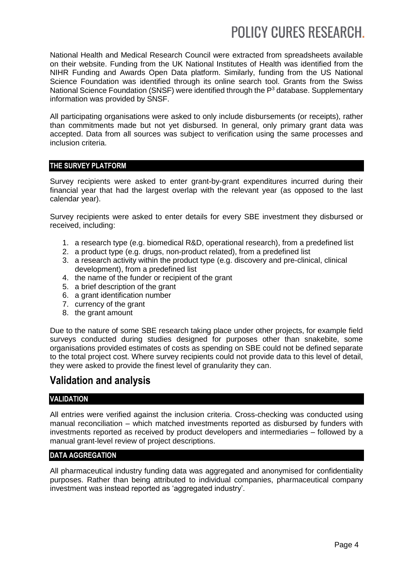National Health and Medical Research Council were extracted from spreadsheets available on their website. Funding from the UK National Institutes of Health was identified from the NIHR Funding and Awards Open Data platform. Similarly, funding from the US National Science Foundation was identified through its online search tool. Grants from the Swiss National Science Foundation (SNSF) were identified through the P<sup>3</sup> database. Supplementary information was provided by SNSF.

All participating organisations were asked to only include disbursements (or receipts), rather than commitments made but not yet disbursed. In general, only primary grant data was accepted. Data from all sources was subject to verification using the same processes and inclusion criteria.

### **THE SURVEY PLATFORM**

Survey recipients were asked to enter grant-by-grant expenditures incurred during their financial year that had the largest overlap with the relevant year (as opposed to the last calendar year).

Survey recipients were asked to enter details for every SBE investment they disbursed or received, including:

- 1. a research type (e.g. biomedical R&D, operational research), from a predefined list
- 2. a product type (e.g. drugs, non-product related), from a predefined list
- 3. a research activity within the product type (e.g. discovery and pre-clinical, clinical development), from a predefined list
- 4. the name of the funder or recipient of the grant
- 5. a brief description of the grant
- 6. a grant identification number
- 7. currency of the grant
- 8. the grant amount

Due to the nature of some SBE research taking place under other projects, for example field surveys conducted during studies designed for purposes other than snakebite, some organisations provided estimates of costs as spending on SBE could not be defined separate to the total project cost. Where survey recipients could not provide data to this level of detail, they were asked to provide the finest level of granularity they can.

## **Validation and analysis**

### **VALIDATION**

All entries were verified against the inclusion criteria. Cross-checking was conducted using manual reconciliation – which matched investments reported as disbursed by funders with investments reported as received by product developers and intermediaries – followed by a manual grant-level review of project descriptions.

### **DATA AGGREGATION**

All pharmaceutical industry funding data was aggregated and anonymised for confidentiality purposes. Rather than being attributed to individual companies, pharmaceutical company investment was instead reported as 'aggregated industry'.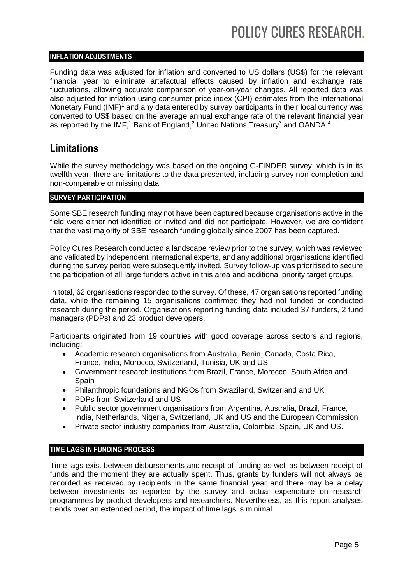## **INFLATION ADJUSTMENTS**

Funding data was adjusted for inflation and converted to US dollars (US\$) for the relevant financial year to eliminate artefactual effects caused by inflation and exchange rate fluctuations, allowing accurate comparison of year-on-year changes. All reported data was also adjusted for inflation using consumer price index (CPI) estimates from the International Monetary Fund (IMF)<sup>1</sup> and any data entered by survey participants in their local currency was converted to US\$ based on the average annual exchange rate of the relevant financial year as reported by the IMF,<sup>1</sup> Bank of England,<sup>2</sup> United Nations Treasury<sup>3</sup> and OANDA.<sup>4</sup>

## **Limitations**

While the survey methodology was based on the ongoing G-FINDER survey, which is in its twelfth year, there are limitations to the data presented, including survey non-completion and non-comparable or missing data.

### **SURVEY PARTICIPATION**

Some SBE research funding may not have been captured because organisations active in the field were either not identified or invited and did not participate. However, we are confident that the vast majority of SBE research funding globally since 2007 has been captured.

Policy Cures Research conducted a landscape review prior to the survey, which was reviewed and validated by independent international experts, and any additional organisations identified during the survey period were subsequently invited. Survey follow-up was prioritised to secure the participation of all large funders active in this area and additional priority target groups.

In total, 62 organisations responded to the survey. Of these, 47 organisations reported funding data, while the remaining 15 organisations confirmed they had not funded or conducted research during the period. Organisations reporting funding data included 37 funders, 2 fund managers (PDPs) and 23 product developers.

Participants originated from 19 countries with good coverage across sectors and regions, including:

- Academic research organisations from Australia, Benin, Canada, Costa Rica, France, India, Morocco, Switzerland, Tunisia, UK and US
- Government research institutions from Brazil, France, Morocco, South Africa and **Spain**
- Philanthropic foundations and NGOs from Swaziland, Switzerland and UK
- PDPs from Switzerland and US
- Public sector government organisations from Argentina, Australia, Brazil, France, India, Netherlands, Nigeria, Switzerland, UK and US and the European Commission
- Private sector industry companies from Australia, Colombia, Spain, UK and US.

## **TIME LAGS IN FUNDING PROCESS**

Time lags exist between disbursements and receipt of funding as well as between receipt of funds and the moment they are actually spent. Thus, grants by funders will not always be recorded as received by recipients in the same financial year and there may be a delay between investments as reported by the survey and actual expenditure on research programmes by product developers and researchers. Nevertheless, as this report analyses trends over an extended period, the impact of time lags is minimal.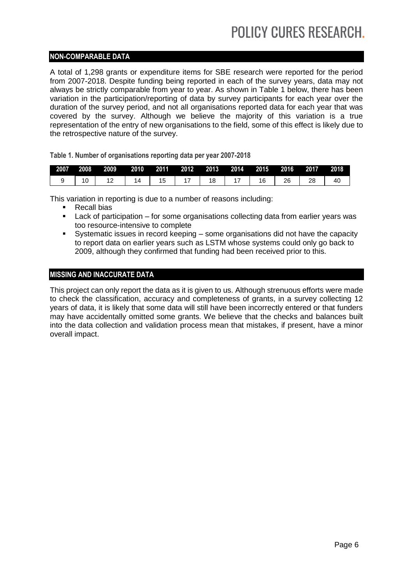## **NON-COMPARABLE DATA**

A total of 1,298 grants or expenditure items for SBE research were reported for the period from 2007-2018. Despite funding being reported in each of the survey years, data may not always be strictly comparable from year to year. As shown in Table 1 below, there has been variation in the participation/reporting of data by survey participants for each year over the duration of the survey period, and not all organisations reported data for each year that was covered by the survey. Although we believe the majority of this variation is a true representation of the entry of new organisations to the field, some of this effect is likely due to the retrospective nature of the survey.

**Table 1. Number of organisations reporting data per year 2007-2018**

| 2007 | 2008 | 2009 | 2010 | 2011 | 2012 | 2013 | 2014 | 2015 | 2016 | 2017 | 2018 |
|------|------|------|------|------|------|------|------|------|------|------|------|
|      | 10   | . .  |      |      |      |      |      | 16   | 26   | 28   |      |

This variation in reporting is due to a number of reasons including:

- Recall bias
- Lack of participation for some organisations collecting data from earlier years was too resource-intensive to complete
- Systematic issues in record keeping some organisations did not have the capacity to report data on earlier years such as LSTM whose systems could only go back to 2009, although they confirmed that funding had been received prior to this.

### **MISSING AND INACCURATE DATA**

This project can only report the data as it is given to us. Although strenuous efforts were made to check the classification, accuracy and completeness of grants, in a survey collecting 12 years of data, it is likely that some data will still have been incorrectly entered or that funders may have accidentally omitted some grants. We believe that the checks and balances built into the data collection and validation process mean that mistakes, if present, have a minor overall impact.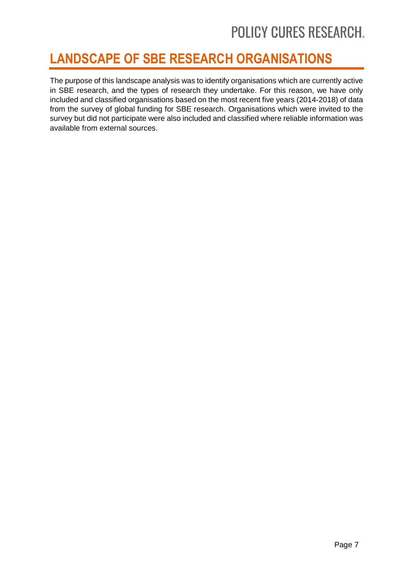## <span id="page-6-0"></span>**LANDSCAPE OF SBE RESEARCH ORGANISATIONS**

The purpose of this landscape analysis was to identify organisations which are currently active in SBE research, and the types of research they undertake. For this reason, we have only included and classified organisations based on the most recent five years (2014-2018) of data from the survey of global funding for SBE research. Organisations which were invited to the survey but did not participate were also included and classified where reliable information was available from external sources.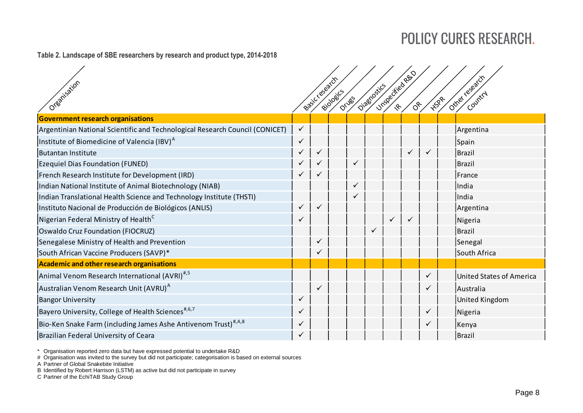### **Table 2. Landscape of SBE researchers by research and product type, 2014-20185–<sup>25</sup>**

| Organisation                                                                 |              | Basic research | Biologics | Drugs | Diagnostics |              | Unspecified Rep<br>$\delta^{\!\mathcal{E}}$ |              | HIPR | Other research<br>Country       |
|------------------------------------------------------------------------------|--------------|----------------|-----------|-------|-------------|--------------|---------------------------------------------|--------------|------|---------------------------------|
| <b>Government research organisations</b>                                     |              |                |           |       |             |              |                                             |              |      |                                 |
| Argentinian National Scientific and Technological Research Council (CONICET) | $\checkmark$ |                |           |       |             |              |                                             |              |      | Argentina                       |
| Institute of Biomedicine of Valencia (IBV) <sup>A</sup>                      | ✓            |                |           |       |             |              |                                             |              |      | Spain                           |
| <b>Butantan Institute</b>                                                    | ✓            | $\checkmark$   |           |       |             |              | ✓                                           | $\checkmark$ |      | Brazil                          |
| <b>Ezequiel Dias Foundation (FUNED)</b>                                      | ✓            |                |           | ✓     |             |              |                                             |              |      | Brazil                          |
| French Research Institute for Development (IRD)                              | ✓            |                |           |       |             |              |                                             |              |      | France                          |
| Indian National Institute of Animal Biotechnology (NIAB)                     |              |                |           | ✓     |             |              |                                             |              |      | India                           |
| Indian Translational Health Science and Technology Institute (THSTI)         |              |                |           |       |             |              |                                             |              |      | India                           |
| Instituto Nacional de Producción de Biológicos (ANLIS)                       |              | $\checkmark$   |           |       |             |              |                                             |              |      | Argentina                       |
| Nigerian Federal Ministry of Health <sup>C</sup>                             | ✓            |                |           |       |             | $\checkmark$ | $\checkmark$                                |              |      | Nigeria                         |
| Oswaldo Cruz Foundation (FIOCRUZ)                                            |              |                |           |       |             |              |                                             |              |      | Brazil                          |
| Senegalese Ministry of Health and Prevention                                 |              | $\checkmark$   |           |       |             |              |                                             |              |      | Senegal                         |
| South African Vaccine Producers (SAVP)*                                      |              | $\checkmark$   |           |       |             |              |                                             |              |      | South Africa                    |
| Academic and other research organisations                                    |              |                |           |       |             |              |                                             |              |      |                                 |
| Animal Venom Research International (AVRI) <sup>#,5</sup>                    |              |                |           |       |             |              |                                             | $\checkmark$ |      | <b>United States of America</b> |
| Australian Venom Research Unit (AVRU) <sup>A</sup>                           |              | $\checkmark$   |           |       |             |              |                                             |              |      | Australia                       |
| <b>Bangor University</b>                                                     | ✓            |                |           |       |             |              |                                             |              |      | <b>United Kingdom</b>           |
| Bayero University, College of Health Sciences <sup>#,6,7</sup>               | ✓            |                |           |       |             |              |                                             | ✓            |      | Nigeria                         |
| Bio-Ken Snake Farm (including James Ashe Antivenom Trust) <sup>#,A,8</sup>   | ✓            |                |           |       |             |              |                                             | $\checkmark$ |      | Kenya                           |
| Brazilian Federal University of Ceara                                        | ✓            |                |           |       |             |              |                                             |              |      | Brazil                          |

\* Organisation reported zero data but have expressed potential to undertake R&D

# Organisation was invited to the survey but did not participate; categorisation is based on external sources

A Partner of Global Snakebite Initiative

B Identified by Robert Harrison (LSTM) as active but did not participate in survey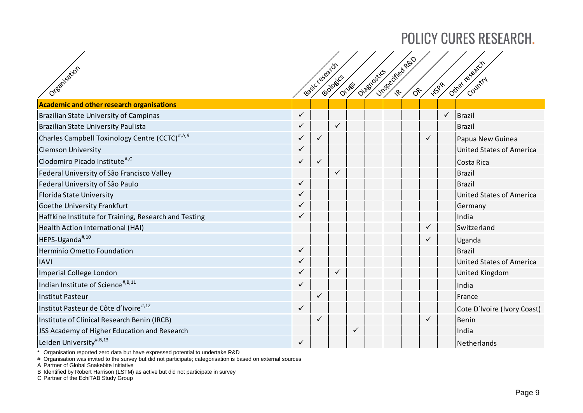| Oreanisation                                               |              | Basic research | Biologics    | <b>Orugs</b> | Diagnostics | Unspecified Rep<br>$O_{\mathcal{C}}$ | <b>HSPR</b>  |              | Other regards<br>Country    |
|------------------------------------------------------------|--------------|----------------|--------------|--------------|-------------|--------------------------------------|--------------|--------------|-----------------------------|
| Academic and other research organisations                  |              |                |              |              |             |                                      |              |              |                             |
| Brazilian State University of Campinas                     | $\checkmark$ |                |              |              |             |                                      |              | $\checkmark$ | Brazil                      |
| Brazilian State University Paulista                        |              |                | $\checkmark$ |              |             |                                      |              |              | Brazil                      |
| Charles Campbell Toxinology Centre (CCTC) <sup>#,A,9</sup> | ✓            | ✓              |              |              |             |                                      | $\checkmark$ |              | Papua New Guinea            |
| <b>Clemson University</b>                                  |              |                |              |              |             |                                      |              |              | United States of America    |
| Clodomiro Picado Institute <sup>A,C</sup>                  |              | ✓              |              |              |             |                                      |              |              | Costa Rica                  |
| Federal University of São Francisco Valley                 |              |                | ✓            |              |             |                                      |              |              | Brazil                      |
| Federal University of São Paulo                            |              |                |              |              |             |                                      |              |              | Brazil                      |
| Florida State University                                   |              |                |              |              |             |                                      |              |              | United States of America    |
| <b>Goethe University Frankfurt</b>                         |              |                |              |              |             |                                      |              |              | Germany                     |
| Haffkine Institute for Training, Research and Testing      |              |                |              |              |             |                                      |              |              | India                       |
| Health Action International (HAI)                          |              |                |              |              |             |                                      |              |              | Switzerland                 |
| HEPS-Uganda <sup>#,10</sup>                                |              |                |              |              |             |                                      | ✓            |              | Uganda                      |
| Hermínio Ometto Foundation                                 | ✓            |                |              |              |             |                                      |              |              | Brazil                      |
| <b>IAVI</b>                                                |              |                |              |              |             |                                      |              |              | United States of America    |
| Imperial College London                                    |              |                | ✓            |              |             |                                      |              |              | United Kingdom              |
| Indian Institute of Science <sup>#, B, 11</sup>            |              |                |              |              |             |                                      |              |              | India                       |
| Institut Pasteur                                           |              |                |              |              |             |                                      |              |              | France                      |
| Institut Pasteur de Côte d'Ivoire <sup>#,12</sup>          |              |                |              |              |             |                                      |              |              | Cote D'Ivoire (Ivory Coast) |
| Institute of Clinical Research Benin (IRCB)                |              |                |              |              |             |                                      |              |              | Benin                       |
| JSS Academy of Higher Education and Research               |              |                |              |              |             |                                      |              |              | India                       |
| Leiden University <sup>#, B, 13</sup>                      | ✓            |                |              |              |             |                                      |              |              | Netherlands                 |

\* Organisation reported zero data but have expressed potential to undertake R&D

# Organisation was invited to the survey but did not participate; categorisation is based on external sources

A Partner of Global Snakebite Initiative

B Identified by Robert Harrison (LSTM) as active but did not participate in survey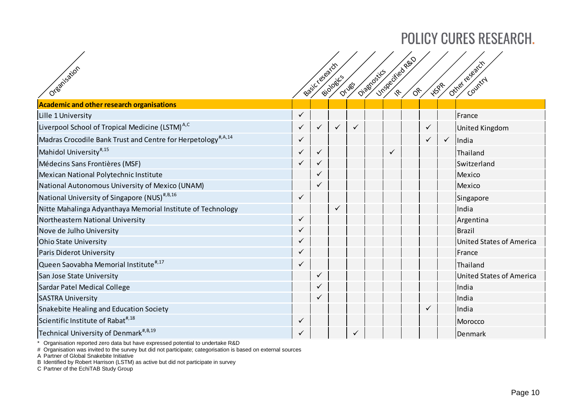| Oreanisation                                                             |   | Basiccresearch | Biologics    | Drugs | Diagnostics |              | Unspecified Rep<br>$\delta^*$ | HSPR |              | Ottre research<br>Country       |
|--------------------------------------------------------------------------|---|----------------|--------------|-------|-------------|--------------|-------------------------------|------|--------------|---------------------------------|
| <b>Academic and other research organisations</b>                         |   |                |              |       |             |              |                               |      |              |                                 |
| Lille 1 University                                                       | ✓ |                |              |       |             |              |                               |      |              | France                          |
| Liverpool School of Tropical Medicine (LSTM) <sup>A,C</sup>              |   | $\checkmark$   | $\checkmark$ | ✓     |             |              |                               |      |              | United Kingdom                  |
| Madras Crocodile Bank Trust and Centre for Herpetology <sup>#,A,14</sup> |   |                |              |       |             |              |                               | ✓    | $\checkmark$ | India                           |
| Mahidol University <sup>#,15</sup>                                       |   | $\checkmark$   |              |       |             | $\checkmark$ |                               |      |              | Thailand                        |
| Médecins Sans Frontières (MSF)                                           |   |                |              |       |             |              |                               |      |              | Switzerland                     |
| Mexican National Polytechnic Institute                                   |   |                |              |       |             |              |                               |      |              | Mexico                          |
| National Autonomous University of Mexico (UNAM)                          |   |                |              |       |             |              |                               |      |              | Mexico                          |
| National University of Singapore (NUS) <sup>#,B,16</sup>                 |   |                |              |       |             |              |                               |      |              | Singapore                       |
| Nitte Mahalinga Adyanthaya Memorial Institute of Technology              |   |                | $\checkmark$ |       |             |              |                               |      |              | India                           |
| Northeastern National University                                         |   |                |              |       |             |              |                               |      |              | Argentina                       |
| Nove de Julho University                                                 |   |                |              |       |             |              |                               |      |              | Brazil                          |
| <b>Ohio State University</b>                                             |   |                |              |       |             |              |                               |      |              | <b>United States of America</b> |
| Paris Diderot University                                                 |   |                |              |       |             |              |                               |      |              | France                          |
| Queen Saovabha Memorial Institute <sup>#,17</sup>                        |   |                |              |       |             |              |                               |      |              | Thailand                        |
| San Jose State University                                                |   | $\checkmark$   |              |       |             |              |                               |      |              | United States of America        |
| Sardar Patel Medical College                                             |   |                |              |       |             |              |                               |      |              | India                           |
| <b>SASTRA University</b>                                                 |   |                |              |       |             |              |                               |      |              | India                           |
| Snakebite Healing and Education Society                                  |   |                |              |       |             |              |                               |      |              | India                           |
| Scientific Institute of Rabat <sup>#,18</sup>                            |   |                |              |       |             |              |                               |      |              | Morocco                         |
| Technical University of Denmark <sup>#,B,19</sup>                        |   |                |              |       |             |              |                               |      |              | Denmark                         |

\* Organisation reported zero data but have expressed potential to undertake R&D

# Organisation was invited to the survey but did not participate; categorisation is based on external sources

A Partner of Global Snakebite Initiative

B Identified by Robert Harrison (LSTM) as active but did not participate in survey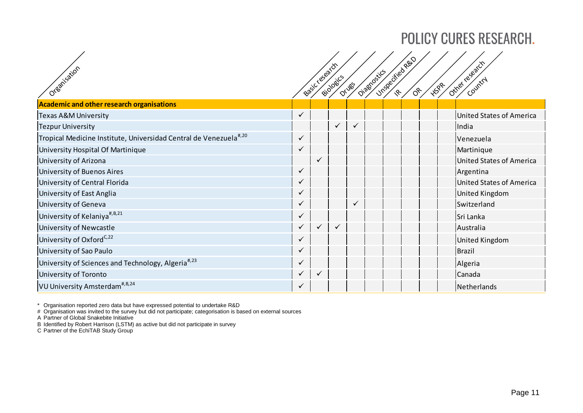| Organisation                                                                  |              | Basiccesearch | Biologics | <b>Orugs</b> | Diagnosics | Unspecified Rep<br>′୫∕ | <b>HISPR</b> | otre regards<br>Country  |
|-------------------------------------------------------------------------------|--------------|---------------|-----------|--------------|------------|------------------------|--------------|--------------------------|
| <b>Academic and other research organisations</b>                              |              |               |           |              |            |                        |              |                          |
| Texas A&M University                                                          |              |               |           |              |            |                        |              | United States of America |
| <b>Tezpur University</b>                                                      |              |               | ✓         | $\checkmark$ |            |                        |              | India                    |
| Tropical Medicine Institute, Universidad Central de Venezuela <sup>#,20</sup> | ✓            |               |           |              |            |                        |              | Venezuela                |
| University Hospital Of Martinique                                             |              |               |           |              |            |                        |              | Martinique               |
| University of Arizona                                                         |              | $\checkmark$  |           |              |            |                        |              | United States of America |
| <b>University of Buenos Aires</b>                                             |              |               |           |              |            |                        |              | Argentina                |
| University of Central Florida                                                 |              |               |           |              |            |                        |              | United States of America |
| University of East Anglia                                                     |              |               |           |              |            |                        |              | United Kingdom           |
| University of Geneva                                                          |              |               |           |              |            |                        |              | Switzerland              |
| University of Kelaniya <sup>#, B, 21</sup>                                    |              |               |           |              |            |                        |              | Sri Lanka                |
| University of Newcastle                                                       |              |               | ✓         |              |            |                        |              | Australia                |
| University of Oxford <sup>C,22</sup>                                          |              |               |           |              |            |                        |              | United Kingdom           |
| University of Sao Paulo                                                       |              |               |           |              |            |                        |              | Brazil                   |
| University of Sciences and Technology, Algeria <sup>#,23</sup>                | $\checkmark$ |               |           |              |            |                        |              | Algeria                  |
| University of Toronto                                                         |              | $\checkmark$  |           |              |            |                        |              | Canada                   |
| VU University Amsterdam <sup>#, B, 24</sup>                                   | $\checkmark$ |               |           |              |            |                        |              | Netherlands              |

\* Organisation reported zero data but have expressed potential to undertake R&D

# Organisation was invited to the survey but did not participate; categorisation is based on external sources

A Partner of Global Snakebite Initiative

B Identified by Robert Harrison (LSTM) as active but did not participate in survey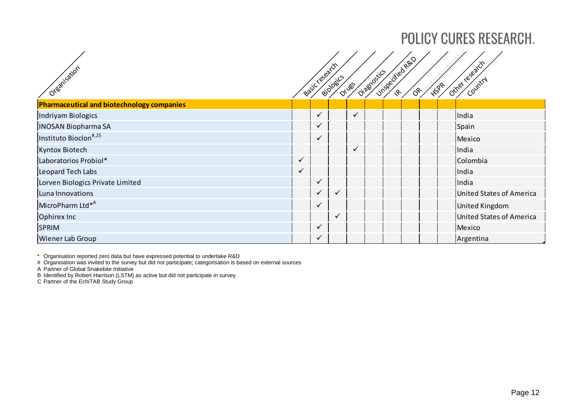| Organisation                                      |              | Basic Legearch | Biologics    | Drugs        | Diagostics | Unspecified Rep | $\overset{\sim}{\circ}$ | <b>1198</b> | Other recently           |
|---------------------------------------------------|--------------|----------------|--------------|--------------|------------|-----------------|-------------------------|-------------|--------------------------|
| <b>Pharmaceutical and biotechnology companies</b> |              |                |              |              |            |                 |                         |             |                          |
| Indriyam Biologics                                |              | ✓              |              | $\checkmark$ |            |                 |                         |             | India                    |
| <b>INOSAN Biopharma SA</b>                        |              | $\checkmark$   |              |              |            |                 |                         |             | Spain                    |
| Instituto Bioclon <sup>#,25</sup>                 |              | $\checkmark$   |              |              |            |                 |                         |             | Mexico                   |
| Kyntox Biotech                                    |              |                |              | $\checkmark$ |            |                 |                         |             | India                    |
| Laboratorios Probiol*                             |              |                |              |              |            |                 |                         |             | Colombia                 |
| Leopard Tech Labs                                 | $\checkmark$ |                |              |              |            |                 |                         |             | India                    |
| Lorven Biologics Private Limited                  |              | ✔              |              |              |            |                 |                         |             | India                    |
| Luna Innovations                                  |              | $\checkmark$   | $\checkmark$ |              |            |                 |                         |             | United States of America |
| MicroPharm Ltd <sup>*A</sup>                      |              | $\checkmark$   |              |              |            |                 |                         |             | United Kingdom           |
| Ophirex Inc                                       |              |                | ✓            |              |            |                 |                         |             | United States of America |
| <b>SPRIM</b>                                      |              |                |              |              |            |                 |                         |             | Mexico                   |
| <b>Wiener Lab Group</b>                           |              | ✓              |              |              |            |                 |                         |             | Argentina                |

\* Organisation reported zero data but have expressed potential to undertake R&D

# Organisation was invited to the survey but did not participate; categorisation is based on external sources

A Partner of Global Snakebite Initiative

B Identified by Robert Harrison (LSTM) as active but did not participate in survey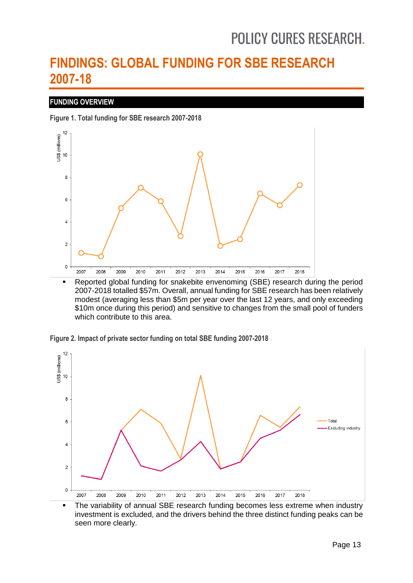## <span id="page-12-0"></span>**FINDINGS: GLOBAL FUNDING FOR SBE RESEARCH 2007-18**

### **FUNDING OVERVIEW**

**Figure 1. Total funding for SBE research 2007-2018**



 Reported global funding for snakebite envenoming (SBE) research during the period 2007-2018 totalled \$57m. Overall, annual funding for SBE research has been relatively modest (averaging less than \$5m per year over the last 12 years, and only exceeding \$10m once during this period) and sensitive to changes from the small pool of funders which contribute to this area.





• The variability of annual SBE research funding becomes less extreme when industry investment is excluded, and the drivers behind the three distinct funding peaks can be seen more clearly.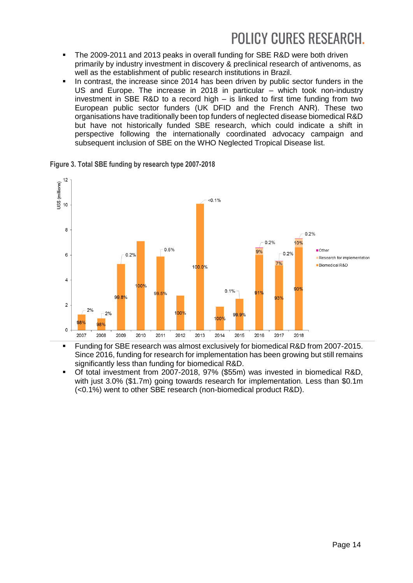- The 2009-2011 and 2013 peaks in overall funding for SBE R&D were both driven primarily by industry investment in discovery & preclinical research of antivenoms, as well as the establishment of public research institutions in Brazil.
- $\blacksquare$  In contrast, the increase since 2014 has been driven by public sector funders in the US and Europe. The increase in 2018 in particular – which took non-industry investment in SBE R&D to a record high – is linked to first time funding from two European public sector funders (UK DFID and the French ANR). These two organisations have traditionally been top funders of neglected disease biomedical R&D but have not historically funded SBE research, which could indicate a shift in perspective following the internationally coordinated advocacy campaign and subsequent inclusion of SBE on the WHO Neglected Tropical Disease list.

 $12$  $\begin{array}{c}\n 12 \\
\hline\n 13 \\
\hline\n 14\n \end{array}$  $10.1\%$ 8  $0.2%$ 0.2% 10%  $0.5%$  $\bigcap_{i=1}^{n}$  $9%$  $0.2%$ 6  $0.2%$ Research for implementation Biomedical R&D 100.0%  $\overline{4}$  $100<sub>9</sub>$  $0.1%$  $99.5%$ 99.8% 93  $\overline{2}$  $00$  $2%$ 989 98%  $\circ$ 2007 2008 2009 2010 2011 2012 2013 2014 2015 2016 2017 2018

**Figure 3. Total SBE funding by research type 2007-2018**

- **Funding for SBE research was almost exclusively for biomedical R&D from 2007-2015.** Since 2016, funding for research for implementation has been growing but still remains significantly less than funding for biomedical R&D.
- Of total investment from 2007-2018, 97% (\$55m) was invested in biomedical R&D, with just 3.0% (\$1.7m) going towards research for implementation. Less than \$0.1m (<0.1%) went to other SBE research (non-biomedical product R&D).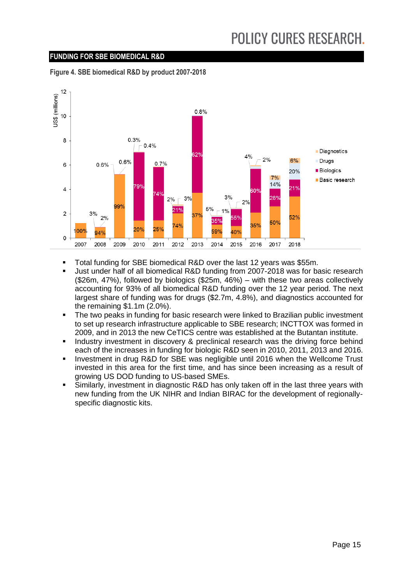### **FUNDING FOR SBE BIOMEDICAL R&D**

**Figure 4. SBE biomedical R&D by product 2007-2018**



- Total funding for SBE biomedical R&D over the last 12 years was \$55m.
- Just under half of all biomedical R&D funding from 2007-2018 was for basic research (\$26m, 47%), followed by biologics (\$25m, 46%) – with these two areas collectively accounting for 93% of all biomedical R&D funding over the 12 year period. The next largest share of funding was for drugs (\$2.7m, 4.8%), and diagnostics accounted for the remaining \$1.1m (2.0%).
- The two peaks in funding for basic research were linked to Brazilian public investment to set up research infrastructure applicable to SBE research; INCTTOX was formed in 2009, and in 2013 the new CeTICS centre was established at the Butantan institute.
- Industry investment in discovery & preclinical research was the driving force behind each of the increases in funding for biologic R&D seen in 2010, 2011, 2013 and 2016.
- Investment in drug R&D for SBE was negligible until 2016 when the Wellcome Trust invested in this area for the first time, and has since been increasing as a result of growing US DOD funding to US-based SMEs.
- Similarly, investment in diagnostic R&D has only taken off in the last three years with new funding from the UK NIHR and Indian BIRAC for the development of regionallyspecific diagnostic kits.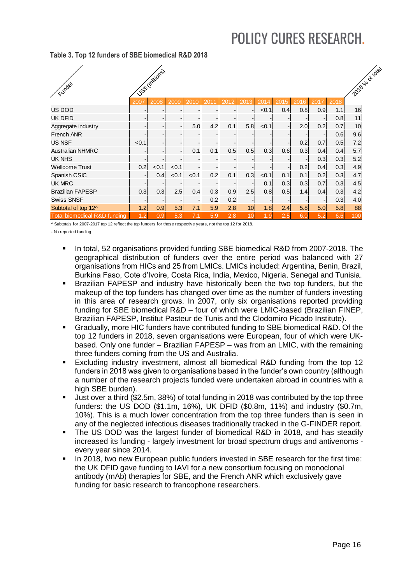#### **Table 3. Top 12 funders of SBE biomedical R&D 2018**

| Funder                                  |       | Uses (millions) |                          |       |      |      |                 |       |      |      |                 |      | 2018 olo dr rais |
|-----------------------------------------|-------|-----------------|--------------------------|-------|------|------|-----------------|-------|------|------|-----------------|------|------------------|
|                                         | 2007  | 2008            | 2009                     | 2010  | 2011 | 2012 | 2013            | 2014  | 2015 | 2016 | 20 <sup>1</sup> | 2018 |                  |
| US DOD                                  |       |                 |                          |       |      |      |                 | < 0.1 | 0.4  | 0.8  | 0.9             | 1.1  | 16               |
| <b>UK DFID</b>                          |       |                 |                          |       |      |      |                 |       |      |      |                 | 0.8  | 11               |
| Aggregate industry                      |       |                 |                          | 5.0   | 4.2  | 0.1  | 5.8             | < 0.1 |      | 2.0  | 0.2             | 0.7  | 10               |
| French ANR                              |       |                 |                          |       |      |      |                 |       |      |      |                 | 0.6  | 9.6              |
| <b>US NSF</b>                           | < 0.1 |                 |                          |       |      |      |                 |       |      | 0.2  | 0.7             | 0.5  | 7.2              |
| <b>Australian NHMRC</b>                 |       |                 | $\overline{\phantom{a}}$ | 0.1   | 0.1  | 0.5  | 0.5             | 0.3   | 0.6  | 0.3  | 0.4             | 0.4  | 5.7              |
| UK NHS                                  |       |                 |                          |       |      |      |                 |       |      |      | 0.3             | 0.3  | 5.2              |
| Wellcome Trust                          | 0.2   | < 0.1           | < 0.1                    |       |      |      |                 |       |      | 0.2  | 0.4             | 0.3  | 4.9              |
| Spanish CSIC                            |       | 0.4             | < 0.1                    | < 0.1 | 0.2  | 0.1  | 0.3             | < 0.1 | 0.1  | 0.1  | 0.2             | 0.3  | 4.7              |
| <b>UK MRC</b>                           |       |                 |                          |       |      |      |                 | 0.1   | 0.3  | 0.3  | 0.7             | 0.3  | 4.5              |
| <b>Brazilian FAPESP</b>                 | 0.3   | 0.3             | 2.5                      | 0.4   | 0.3  | 0.9  | 2.5             | 0.8   | 0.5  | 1.4  | 0.4             | 0.3  | 4.2              |
| <b>Swiss SNSF</b>                       |       |                 |                          |       | 0.2  | 0.2  |                 |       |      |      |                 | 0.3  | 4.0              |
| Subtotal of top 12^                     | 1.2   | 0.9             | 5.3                      | 7.1   | 5.9  | 2.8  | 10 <sup>1</sup> | 1.8   | 2.4  | 5.8  | 5.0             | 5.8  | 88               |
| <b>Total biomedical R&amp;D funding</b> | 1.2   | 0.9             | 5.3                      | 7.1   | 5.9  | 2.8  | 10              | .9    | 2.5  | 6.0  | 5.2             | 6.6  | 100              |

^ Subtotals for 2007-2017 top 12 reflect the top funders for those respective years, not the top 12 for 2018.

- No reported funding

- In total, 52 organisations provided funding SBE biomedical R&D from 2007-2018. The geographical distribution of funders over the entire period was balanced with 27 organisations from HICs and 25 from LMICs. LMICs included: Argentina, Benin, Brazil, Burkina Faso, Cote d'Ivoire, Costa Rica, India, Mexico, Nigeria, Senegal and Tunisia.
- Brazilian FAPESP and industry have historically been the two top funders, but the makeup of the top funders has changed over time as the number of funders investing in this area of research grows. In 2007, only six organisations reported providing funding for SBE biomedical R&D – four of which were LMIC-based (Brazilian FINEP, Brazilian FAPESP, Institut Pasteur de Tunis and the Clodomiro Picado Institute).
- Gradually, more HIC funders have contributed funding to SBE biomedical R&D. Of the top 12 funders in 2018, seven organisations were European, four of which were UKbased. Only one funder – Brazilian FAPESP – was from an LMIC, with the remaining three funders coming from the US and Australia.
- Excluding industry investment, almost all biomedical R&D funding from the top 12 funders in 2018 was given to organisations based in the funder's own country (although a number of the research projects funded were undertaken abroad in countries with a high SBE burden).
- Just over a third (\$2.5m, 38%) of total funding in 2018 was contributed by the top three funders: the US DOD (\$1.1m, 16%), UK DFID (\$0.8m, 11%) and industry (\$0.7m, 10%). This is a much lower concentration from the top three funders than is seen in any of the neglected infectious diseases traditionally tracked in the G-FINDER report.
- The US DOD was the largest funder of biomedical R&D in 2018, and has steadily increased its funding - largely investment for broad spectrum drugs and antivenoms every year since 2014.
- In 2018, two new European public funders invested in SBE research for the first time: the UK DFID gave funding to IAVI for a new consortium focusing on monoclonal antibody (mAb) therapies for SBE, and the French ANR which exclusively gave funding for basic research to francophone researchers.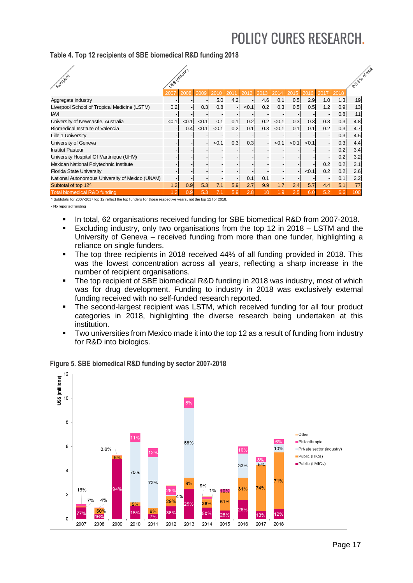### **Table 4. Top 12 recipients of SBE biomedical R&D funding 2018**

| Recipient                                       | USS Imilions |       |       |       |                          |       |                          |       |       |                          |      |      | 2018 slocktras |
|-------------------------------------------------|--------------|-------|-------|-------|--------------------------|-------|--------------------------|-------|-------|--------------------------|------|------|----------------|
|                                                 | 2007         | 2008  | 2009  | 2010  | 201                      | 2012  | 2013                     | 2014  | 2015  | 2016                     | 2017 | 2018 |                |
| Aggregate industry                              |              |       |       | 5.0   | 4.2                      |       | 4.6                      | 0.1   | 0.5   | 2.9                      | 1.0  | 1.3  | 19             |
| Liverpool School of Tropical Medicine (LSTM)    | 0.2          |       | 0.3   | 0.8   | $\overline{\phantom{a}}$ | < 0.1 | 0.2                      | 0.3   | 0.5   | 0.5                      | 1.2  | 0.9  | 13             |
| <b>IAVI</b>                                     |              |       |       |       |                          |       |                          |       |       |                          |      | 0.8  | 11             |
| University of Newcastle, Australia              | < 0.1        | < 0.1 | < 0.1 | 0.1   | 0.1                      | 0.2   | 0.2                      | < 0.1 | 0.3   | 0.3                      | 0.3  | 0.3  | 4.8            |
| Biomedical Institute of Valencia                |              | 0.4   | < 0.1 | < 0.1 | 0.2                      | 0.1   | 0.3                      | < 0.1 | 0.1   | 0.1                      | 0.2  | 0.3  | 4.7            |
| Lille 1 University                              |              |       |       |       |                          |       |                          |       |       |                          |      | 0.3  | 4.5            |
| University of Geneva                            |              |       |       | < 0.1 | 0.3                      | 0.3   | $\overline{\phantom{a}}$ | < 0.1 | < 0.1 | < 0.1                    |      | 0.3  | 4.4            |
| <b>Institut Pasteur</b>                         |              |       |       |       |                          |       |                          |       |       |                          |      | 0.2  | 3.4            |
| University Hospital Of Martinique (UHM)         |              |       |       |       |                          |       |                          |       |       |                          |      | 0.2  | 3.2            |
| Mexican National Polytechnic Institute          |              |       |       |       |                          |       |                          |       |       | $\overline{\phantom{a}}$ | 0.2  | 0.2  | 3.1            |
| <b>Florida State University</b>                 |              |       |       |       |                          |       |                          |       |       | < 0.1                    | 0.2  | 0.2  | 2.6            |
| National Autonomous University of Mexico (UNAM) |              |       |       |       |                          | 0.1   | 0.1                      |       |       |                          |      | 0.1  | 2.2            |
| Subtotal of top 12^                             | 1.2          | 0.9   | 5.3   | 7.1   | 5.9                      | 2.7   | 9.9                      | 1.7   | 2.4   | 5.7                      | 4.4  | 5.1  | 77             |
| <b>Total biomedical R&amp;D funding</b>         | 1.2          | 0.9   | 5.3   |       | 5.9                      | 2.8   | 10                       | 9     | 2.5   | 6.0                      | 5.2  | 6.6  | 100            |

^ Subtotals for 2007-2017 top 12 reflect the top funders for those respective years, not the top 12 for 2018. - No reported funding

- In total, 62 organisations received funding for SBE biomedical R&D from 2007-2018.
- Excluding industry, only two organisations from the top 12 in 2018 LSTM and the University of Geneva – received funding from more than one funder, highlighting a reliance on single funders.
- The top three recipients in 2018 received 44% of all funding provided in 2018. This was the lowest concentration across all years, reflecting a sharp increase in the number of recipient organisations.
- The top recipient of SBE biomedical R&D funding in 2018 was industry, most of which was for drug development. Funding to industry in 2018 was exclusively external funding received with no self-funded research reported.
- The second-largest recipient was LSTM, which received funding for all four product categories in 2018, highlighting the diverse research being undertaken at this institution.
- Two universities from Mexico made it into the top 12 as a result of funding from industry for R&D into biologics.



### **Figure 5. SBE biomedical R&D funding by sector 2007-2018**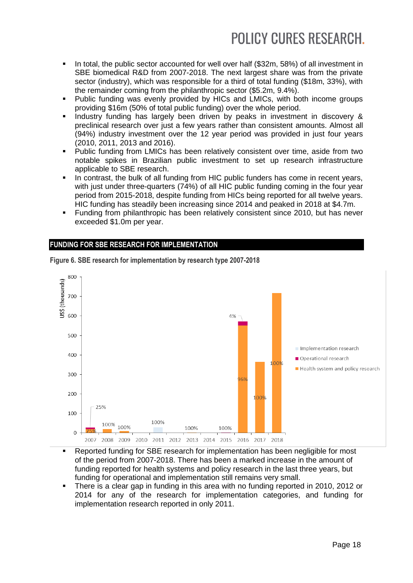- In total, the public sector accounted for well over half (\$32m, 58%) of all investment in SBE biomedical R&D from 2007-2018. The next largest share was from the private sector (industry), which was responsible for a third of total funding (\$18m, 33%), with the remainder coming from the philanthropic sector (\$5.2m, 9.4%).
- Public funding was evenly provided by HICs and LMICs, with both income groups providing \$16m (50% of total public funding) over the whole period.
- Industry funding has largely been driven by peaks in investment in discovery & preclinical research over just a few years rather than consistent amounts. Almost all (94%) industry investment over the 12 year period was provided in just four years (2010, 2011, 2013 and 2016).
- Public funding from LMICs has been relatively consistent over time, aside from two notable spikes in Brazilian public investment to set up research infrastructure applicable to SBE research.
- In contrast, the bulk of all funding from HIC public funders has come in recent years, with just under three-quarters (74%) of all HIC public funding coming in the four year period from 2015-2018, despite funding from HICs being reported for all twelve years. HIC funding has steadily been increasing since 2014 and peaked in 2018 at \$4.7m.
- Funding from philanthropic has been relatively consistent since 2010, but has never exceeded \$1.0m per year.

### **FUNDING FOR SBE RESEARCH FOR IMPLEMENTATION**



**Figure 6. SBE research for implementation by research type 2007-2018**

- Reported funding for SBE research for implementation has been negligible for most of the period from 2007-2018. There has been a marked increase in the amount of funding reported for health systems and policy research in the last three years, but funding for operational and implementation still remains very small.
- There is a clear gap in funding in this area with no funding reported in 2010, 2012 or 2014 for any of the research for implementation categories, and funding for implementation research reported in only 2011.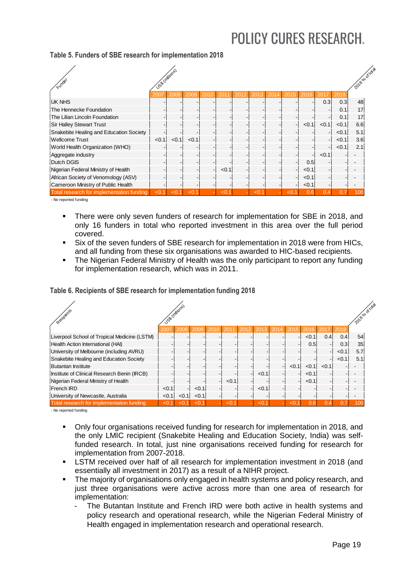| Funder                                    | USS Imilions |       |       |      |             |      |      |      |                          |       |       |       | 2018 olo chinava |
|-------------------------------------------|--------------|-------|-------|------|-------------|------|------|------|--------------------------|-------|-------|-------|------------------|
|                                           | 2007         | 2008  | 2009  | 2010 | 201         | 2012 | 2013 | 2014 | 2015                     | 2016  |       | 2018  |                  |
| <b>UK NHS</b>                             |              |       |       |      |             |      |      |      |                          |       | 0.3   | 0.3   | 48               |
| The Hennecke Foundation                   |              |       |       |      |             |      |      |      |                          |       |       | 0.1   | 17               |
| The Lilian Lincoln Foundation             |              |       |       |      |             |      |      |      |                          |       |       | 0.1   | 17               |
| <b>Sir Halley Stewart Trust</b>           |              |       |       |      |             |      |      |      | $\overline{\phantom{a}}$ | < 0.1 | < 0.1 | < 0.1 | 6.6              |
| Snakebite Healing and Education Society   |              |       |       |      |             |      |      |      |                          |       |       | < 0.1 | 5.1              |
| <b>Wellcome Trust</b>                     | < 0.1        | < 0.1 | < 0.1 |      |             |      |      |      |                          |       |       | < 0.1 | 3.6              |
| World Health Organization (WHO)           |              |       |       |      |             |      |      |      |                          |       |       | < 0.1 | 2.1              |
| Aggregate industry                        |              |       |       |      |             |      |      |      |                          |       | < 0.1 |       |                  |
| Dutch DGIS                                |              |       |       |      |             |      |      |      |                          | 0.5   |       |       |                  |
| Nigerian Federal Ministry of Health       |              |       |       |      | < 0.1       |      |      |      |                          | < 0.1 |       |       |                  |
| African Society of Venomology (ASV)       |              |       |       |      |             |      |      |      |                          | < 0.1 |       |       |                  |
| Cameroon Ministry of Public Health        |              |       |       |      |             |      |      |      | $\overline{\phantom{a}}$ | < 0.1 |       |       |                  |
| Total research for implementation funding | < 0.1        | < 0.1 | < 0.1 |      | $\clubsuit$ |      | <0.  |      | <0.                      | 0.6   | 0.4   |       | 100              |

### **Table 5. Funders of SBE research for implementation 2018**

- No reported funding

- There were only seven funders of research for implementation for SBE in 2018, and only 16 funders in total who reported investment in this area over the full period covered.
- Six of the seven funders of SBE research for implementation in 2018 were from HICs, and all funding from these six organisations was awarded to HIC-based recipients.
- The Nigerian Federal Ministry of Health was the only participant to report any funding for implementation research, which was in 2011.

|  | Table 6. Recipients of SBE research for implementation funding 2018 |  |
|--|---------------------------------------------------------------------|--|

| Recipients                                   | USS Imilions<br>2007 | 2008  | 2009  | 2010 | 2011  | 2012 | 2013  | 2014 | 2015    | 2016  | 2017  | 2018  | 2018 olocktras  |
|----------------------------------------------|----------------------|-------|-------|------|-------|------|-------|------|---------|-------|-------|-------|-----------------|
| Liverpool School of Tropical Medicine (LSTM) |                      |       |       |      |       |      |       |      |         | < 0.1 | 0.4   | 0.4   | 54              |
| Health Action International (HAI)            |                      |       |       |      |       |      |       |      |         | 0.5   |       | 0.3   | 35              |
| University of Melbourne (including AVRU)     |                      |       |       |      |       |      |       |      |         |       |       | < 0.1 | 5.7             |
| Snakebite Healing and Education Society      |                      |       |       |      |       |      |       |      |         |       |       | < 0.1 | 5.1             |
| <b>Butantan Institute</b>                    |                      |       |       |      |       |      |       |      | < 0.1   | < 0.1 | < 0.1 |       |                 |
| Institute of Clinical Research Benin (IRCB)  |                      |       |       |      |       |      | < 0.1 |      |         | < 0.1 |       |       |                 |
| Nigerian Federal Ministry of Health          |                      |       |       |      | < 0.1 |      |       |      |         | < 0.1 |       |       |                 |
| French IRD                                   | < 0.1                |       | < 0.1 |      |       |      | < 0.1 |      |         |       |       |       |                 |
| University of Newcastle, Australia           | < 0.1                | < 0.1 | < 0.1 |      |       |      |       |      |         |       |       |       |                 |
| Total research for implementation funding    | < 0                  | <0    | <0    |      | < 0.1 |      | <0    |      | $< 0$ . |       |       |       | 10 <sub>C</sub> |

- No reported funding

- Only four organisations received funding for research for implementation in 2018, and the only LMIC recipient (Snakebite Healing and Education Society, India) was selffunded research. In total, just nine organisations received funding for research for implementation from 2007-2018.
- LSTM received over half of all research for implementation investment in 2018 (and essentially all investment in 2017) as a result of a NIHR project.
- The majority of organisations only engaged in health systems and policy research, and just three organisations were active across more than one area of research for implementation:
	- The Butantan Institute and French IRD were both active in health systems and policy research and operational research, while the Nigerian Federal Ministry of Health engaged in implementation research and operational research.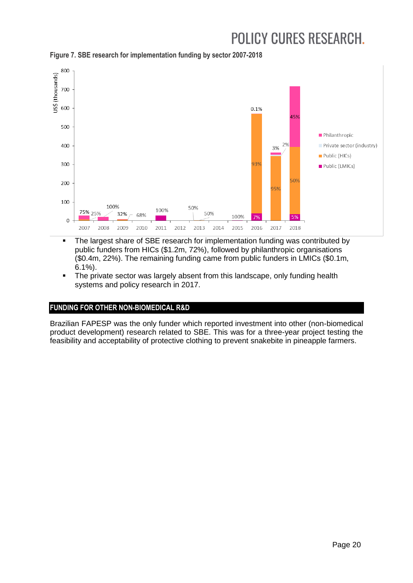

**Figure 7. SBE research for implementation funding by sector 2007-2018**

- The largest share of SBE research for implementation funding was contributed by public funders from HICs (\$1.2m, 72%), followed by philanthropic organisations (\$0.4m, 22%). The remaining funding came from public funders in LMICs (\$0.1m, 6.1%).
- The private sector was largely absent from this landscape, only funding health systems and policy research in 2017.

## **FUNDING FOR OTHER NON-BIOMEDICAL R&D**

Brazilian FAPESP was the only funder which reported investment into other (non-biomedical product development) research related to SBE. This was for a three-year project testing the feasibility and acceptability of protective clothing to prevent snakebite in pineapple farmers.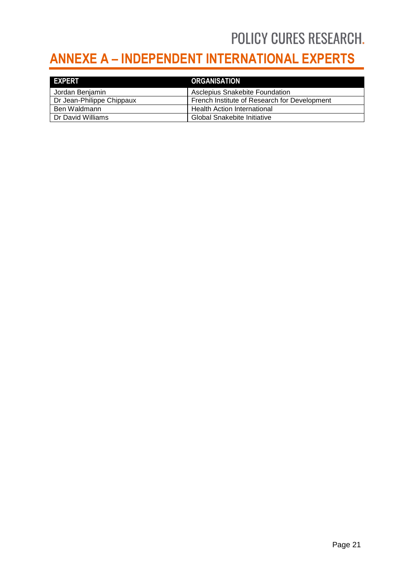## <span id="page-20-0"></span>**ANNEXE A – INDEPENDENT INTERNATIONAL EXPERTS**

| <b>EXPERT</b>             | <b>ORGANISATION</b>                          |
|---------------------------|----------------------------------------------|
| Jordan Benjamin           | <b>Asclepius Snakebite Foundation</b>        |
| Dr Jean-Philippe Chippaux | French Institute of Research for Development |
| Ben Waldmann              | <b>Health Action International</b>           |
| Dr David Williams         | <b>Global Snakebite Initiative</b>           |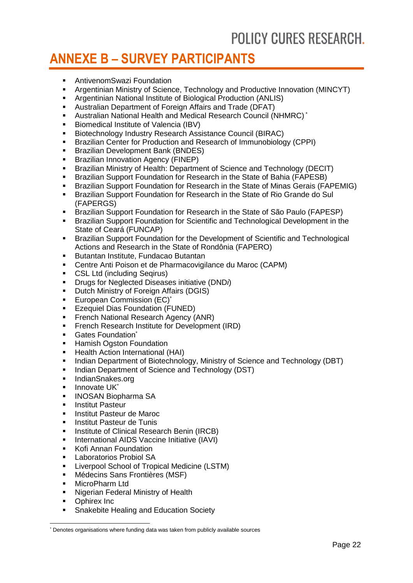## <span id="page-21-0"></span>**ANNEXE B – SURVEY PARTICIPANTS**

- **EXEC** AntivenomSwazi Foundation
- Argentinian Ministry of Science, Technology and Productive Innovation (MINCYT)
- Argentinian National Institute of Biological Production (ANLIS)
- Australian Department of Foreign Affairs and Trade (DFAT)
- Australian National Health and Medical Research Council (NHMRC) \*
- **Biomedical Institute of Valencia (IBV)**
- Biotechnology Industry Research Assistance Council (BIRAC)
- Brazilian Center for Production and Research of Immunobiology (CPPI)
- **Brazilian Development Bank (BNDES)**
- **Brazilian Innovation Agency (FINEP)**
- Brazilian Ministry of Health: Department of Science and Technology (DECIT)
- **Brazilian Support Foundation for Research in the State of Bahia (FAPESB)**
- **Brazilian Support Foundation for Research in the State of Minas Gerais (FAPEMIG)**
- Brazilian Support Foundation for Research in the State of Rio Grande do Sul (FAPERGS)
- Brazilian Support Foundation for Research in the State of São Paulo (FAPESP)
- Brazilian Support Foundation for Scientific and Technological Development in the State of Ceará (FUNCAP)
- Brazilian Support Foundation for the Development of Scientific and Technological Actions and Research in the State of Rondônia (FAPERO)
- **Butantan Institute, Fundacao Butantan**
- Centre Anti Poison et de Pharmacovigilance du Maroc (CAPM)
- **CSL Ltd (including Seqirus)**
- Drugs for Neglected Diseases initiative (DND*i*)
- **•** Dutch Ministry of Foreign Affairs (DGIS)
- **European Commission (EC)\***
- **Ezequiel Dias Foundation (FUNED)**
- **French National Research Agency (ANR)**
- **French Research Institute for Development (IRD)**
- **Gates Foundation\***
- **Hamish Ogston Foundation**
- **-** Health Action International (HAI)
- Indian Department of Biotechnology, Ministry of Science and Technology (DBT)
- **Indian Department of Science and Technology (DST)**
- IndianSnakes.org
- $\blacksquare$  Innovate UK\*
- **INOSAN Biopharma SA**
- **Institut Pasteur**
- **Institut Pasteur de Maroc**
- **Institut Pasteur de Tunis**
- **Institute of Clinical Research Benin (IRCB)**
- **International AIDS Vaccine Initiative (IAVI)**
- **Kofi Annan Foundation**
- **Laboratorios Probiol SA**
- **E** Liverpool School of Tropical Medicine (LSTM)
- Médecins Sans Frontières (MSF)
- **MicroPharm Ltd**
- **Nigerian Federal Ministry of Health**
- Ophirex Inc

-

**Snakebite Healing and Education Society** 

<sup>\*</sup> Denotes organisations where funding data was taken from publicly available sources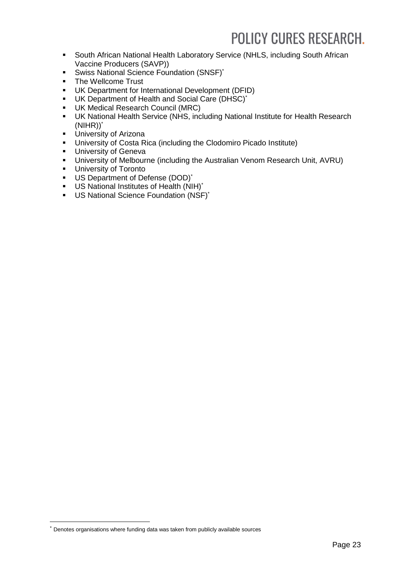- **South African National Health Laboratory Service (NHLS, including South African** Vaccine Producers (SAVP))
- Swiss National Science Foundation (SNSF)\*
- The Wellcome Trust
- UK Department for International Development (DFID)
- UK Department of Health and Social Care (DHSC)\*
- UK Medical Research Council (MRC)
- UK National Health Service (NHS, including National Institute for Health Research  $(NIHR))^*$
- **University of Arizona**
- University of Costa Rica (including the Clodomiro Picado Institute)
- **University of Geneva**
- University of Melbourne (including the Australian Venom Research Unit, AVRU)
- **University of Toronto**
- US Department of Defense (DOD)\*
- US National Institutes of Health (NIH)\*
- US National Science Foundation (NSF)\*

-

Denotes organisations where funding data was taken from publicly available sources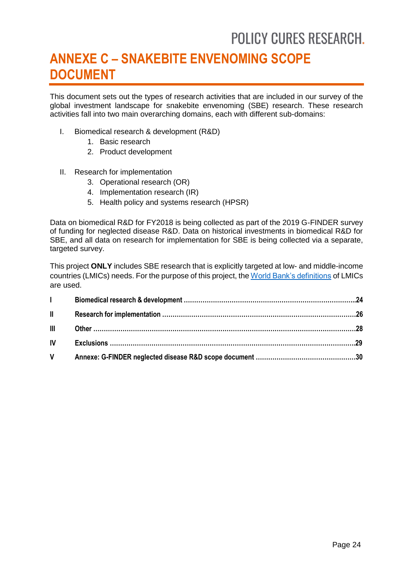## <span id="page-23-0"></span>**ANNEXE C – SNAKEBITE ENVENOMING SCOPE DOCUMENT**

This document sets out the types of research activities that are included in our survey of the global investment landscape for snakebite envenoming (SBE) research. These research activities fall into two main overarching domains, each with different sub-domains:

- I. Biomedical research & development (R&D)
	- 1. Basic research
	- 2. Product development
- II. Research for implementation
	- 3. Operational research (OR)
	- 4. Implementation research (IR)
	- 5. Health policy and systems research (HPSR)

Data on biomedical R&D for FY2018 is being collected as part of the 2019 G-FINDER survey of funding for neglected disease R&D. Data on historical investments in biomedical R&D for SBE, and all data on research for implementation for SBE is being collected via a separate, targeted survey.

This project **ONLY** includes SBE research that is explicitly targeted at low- and middle-income countries (LMICs) needs. For the purpose of this project, th[e World Bank's definitions](https://datahelpdesk.worldbank.org/knowledgebase/articles/906519-world-bank-country-and-lending-groups) of LMICs are used.

| $\mathbf{L}$                  |  |
|-------------------------------|--|
| $\mathbf{H}$ and $\mathbf{H}$ |  |
|                               |  |
|                               |  |
|                               |  |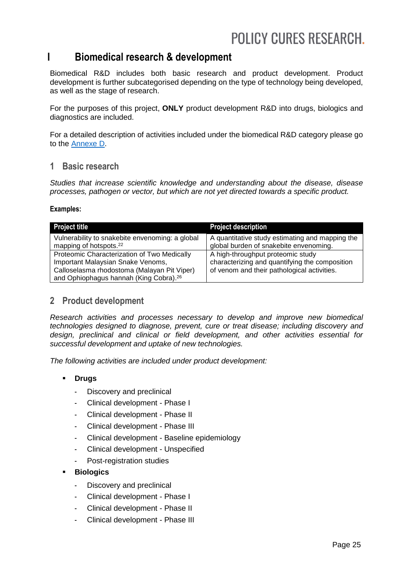## **I Biomedical research & development**

Biomedical R&D includes both basic research and product development. Product development is further subcategorised depending on the type of technology being developed, as well as the stage of research.

For the purposes of this project, **ONLY** product development R&D into drugs, biologics and diagnostics are included.

For a detailed description of activities included under the biomedical R&D category please go to the [Annexe D.](#page-30-0)

### **1 Basic research**

*Studies that increase scientific knowledge and understanding about the disease, disease processes, pathogen or vector, but which are not yet directed towards a specific product.*

#### **Examples:**

| <b>Project title</b>                                                                              | <b>Project description</b>                      |
|---------------------------------------------------------------------------------------------------|-------------------------------------------------|
| Vulnerability to snakebite envenoming: a global                                                   | A quantitative study estimating and mapping the |
| mapping of hotspots. <sup>22</sup>                                                                | global burden of snakebite envenoming.          |
| Proteomic Characterization of Two Medically                                                       | A high-throughput proteomic study               |
| Important Malaysian Snake Venoms,                                                                 | characterizing and quantifying the composition  |
| Calloselasma rhodostoma (Malayan Pit Viper)<br>and Ophiophagus hannah (King Cobra). <sup>26</sup> | of venom and their pathological activities.     |

## **2 Product development**

*Research activities and processes necessary to develop and improve new biomedical technologies designed to diagnose, prevent, cure or treat disease; including discovery and design, preclinical and clinical or field development, and other activities essential for successful development and uptake of new technologies.*

*The following activities are included under product development:*

- **Drugs**
	- Discovery and preclinical
	- Clinical development Phase I
	- Clinical development Phase II
	- Clinical development Phase III
	- Clinical development Baseline epidemiology
	- Clinical development Unspecified
	- Post-registration studies
- **Biologics**
	- Discovery and preclinical
	- Clinical development Phase I
	- Clinical development Phase II
	- Clinical development Phase III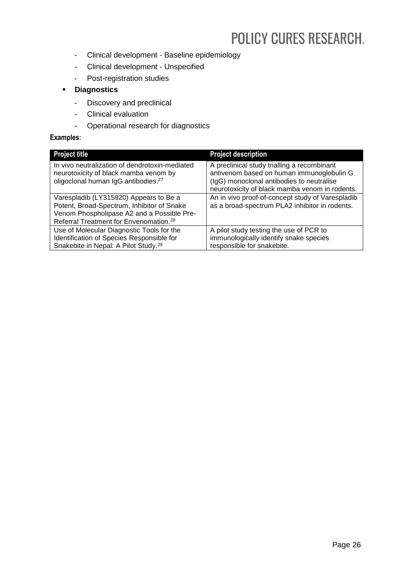- Clinical development Baseline epidemiology
- Clinical development Unspecified
- Post-registration studies
- **Diagnostics**
	- Discovery and preclinical
	- Clinical evaluation
	- Operational research for diagnostics

#### **Examples:**

| <b>Project title</b>                                                                                                                                                                     | <b>Project description</b>                                                                                                                                                              |
|------------------------------------------------------------------------------------------------------------------------------------------------------------------------------------------|-----------------------------------------------------------------------------------------------------------------------------------------------------------------------------------------|
| In vivo neutralization of dendrotoxin-mediated<br>neurotoxicity of black mamba venom by<br>oligoclonal human IgG antibodies. <sup>27</sup>                                               | A preclinical study trialling a recombinant<br>antivenom based on human immunoglobulin G<br>(IgG) monoclonal antibodies to neutralise<br>neurotoxicity of black mamba venom in rodents. |
| Varespladib (LY315920) Appears to Be a<br>Potent, Broad-Spectrum, Inhibitor of Snake<br>Venom Phospholipase A2 and a Possible Pre-<br>Referral Treatment for Envenomation. <sup>28</sup> | An in vivo proof-of-concept study of Varespladib<br>as a broad-spectrum PLA2 inhibitor in rodents.                                                                                      |
| Use of Molecular Diagnostic Tools for the<br>Identification of Species Responsible for<br>Snakebite in Nepal: A Pilot Study. <sup>29</sup>                                               | A pilot study testing the use of PCR to<br>immunologically identify snake species<br>responsible for snakebite.                                                                         |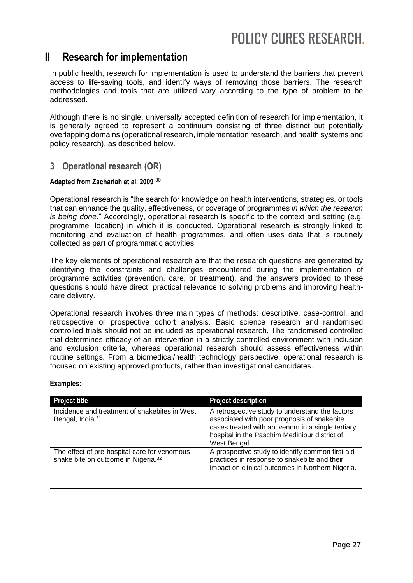## **II Research for implementation**

In public health, research for implementation is used to understand the barriers that prevent access to life-saving tools, and identify ways of removing those barriers. The research methodologies and tools that are utilized vary according to the type of problem to be addressed.

Although there is no single, universally accepted definition of research for implementation, it is generally agreed to represent a continuum consisting of three distinct but potentially overlapping domains (operational research, implementation research, and health systems and policy research), as described below.

## **3 Operational research (OR)**

### **Adapted from Zachariah et al. 2009** <sup>30</sup>

Operational research is "the search for knowledge on health interventions, strategies, or tools that can enhance the quality, effectiveness, or coverage of programmes *in which the research is being done*." Accordingly, operational research is specific to the context and setting (e.g. programme, location) in which it is conducted. Operational research is strongly linked to monitoring and evaluation of health programmes, and often uses data that is routinely collected as part of programmatic activities.

The key elements of operational research are that the research questions are generated by identifying the constraints and challenges encountered during the implementation of programme activities (prevention, care, or treatment), and the answers provided to these questions should have direct, practical relevance to solving problems and improving healthcare delivery.

Operational research involves three main types of methods: descriptive, case-control, and retrospective or prospective cohort analysis. Basic science research and randomised controlled trials should not be included as operational research. The randomised controlled trial determines efficacy of an intervention in a strictly controlled environment with inclusion and exclusion criteria, whereas operational research should assess effectiveness within routine settings. From a biomedical/health technology perspective, operational research is focused on existing approved products, rather than investigational candidates.

| <b>Project title</b>                                                                            | <b>Project description</b>                                                                                                                                                                                           |
|-------------------------------------------------------------------------------------------------|----------------------------------------------------------------------------------------------------------------------------------------------------------------------------------------------------------------------|
| Incidence and treatment of snakebites in West<br>Bengal, India. <sup>31</sup>                   | A retrospective study to understand the factors<br>associated with poor prognosis of snakebite<br>cases treated with antivenom in a single tertiary<br>hospital in the Paschim Medinipur district of<br>West Bengal. |
| The effect of pre-hospital care for venomous<br>snake bite on outcome in Nigeria. <sup>32</sup> | A prospective study to identify common first aid<br>practices in response to snakebite and their<br>impact on clinical outcomes in Northern Nigeria.                                                                 |

### **Examples:**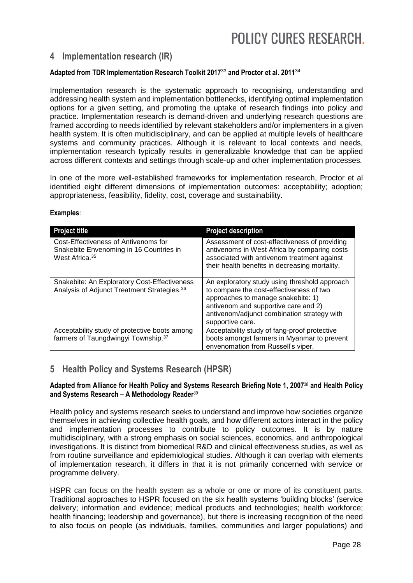## **4 Implementation research (IR)**

#### **Adapted from TDR Implementation Research Toolkit 2017**<sup>33</sup> **and Proctor et al. 2011**<sup>34</sup>

Implementation research is the systematic approach to recognising, understanding and addressing health system and implementation bottlenecks, identifying optimal implementation options for a given setting, and promoting the uptake of research findings into policy and practice. Implementation research is demand-driven and underlying research questions are framed according to needs identified by relevant stakeholders and/or implementers in a given health system. It is often multidisciplinary, and can be applied at multiple levels of healthcare systems and community practices. Although it is relevant to local contexts and needs, implementation research typically results in generalizable knowledge that can be applied across different contexts and settings through scale-up and other implementation processes.

In one of the more well-established frameworks for implementation research, Proctor et al identified eight different dimensions of implementation outcomes: acceptability; adoption; appropriateness, feasibility, fidelity, cost, coverage and sustainability.

| <b>Project title</b>                                                                                          | <b>Project description</b>                                                                                                                                                                                                                 |
|---------------------------------------------------------------------------------------------------------------|--------------------------------------------------------------------------------------------------------------------------------------------------------------------------------------------------------------------------------------------|
| Cost-Effectiveness of Antivenoms for<br>Snakebite Envenoming in 16 Countries in<br>West Africa. <sup>35</sup> | Assessment of cost-effectiveness of providing<br>antivenoms in West Africa by comparing costs<br>associated with antivenom treatment against<br>their health benefits in decreasing mortality.                                             |
| Snakebite: An Exploratory Cost-Effectiveness<br>Analysis of Adjunct Treatment Strategies. 36                  | An exploratory study using threshold approach<br>to compare the cost-effectiveness of two<br>approaches to manage snakebite: 1)<br>antivenom and supportive care and 2)<br>antivenom/adjunct combination strategy with<br>supportive care. |
| Acceptability study of protective boots among<br>farmers of Taungdwingyi Township. 37                         | Acceptability study of fang-proof protective<br>boots amongst farmers in Myanmar to prevent<br>envenomation from Russell's viper.                                                                                                          |

#### **Examples**:

## **5 Health Policy and Systems Research (HPSR)**

#### **Adapted from Alliance for Health Policy and Systems Research Briefing Note 1, 2007**<sup>38</sup> **and Health Policy and Systems Research – A Methodology Reader**<sup>39</sup>

Health policy and systems research seeks to understand and improve how societies organize themselves in achieving collective health goals, and how different actors interact in the policy and implementation processes to contribute to policy outcomes. It is by nature multidisciplinary, with a strong emphasis on social sciences, economics, and anthropological investigations. It is distinct from biomedical R&D and clinical effectiveness studies, as well as from routine surveillance and epidemiological studies. Although it can overlap with elements of implementation research, it differs in that it is not primarily concerned with service or programme delivery.

HSPR can focus on the health system as a whole or one or more of its constituent parts. Traditional approaches to HSPR focused on the six health systems 'building blocks' (service delivery; information and evidence; medical products and technologies; health workforce; health financing; leadership and governance), but there is increasing recognition of the need to also focus on people (as individuals, families, communities and larger populations) and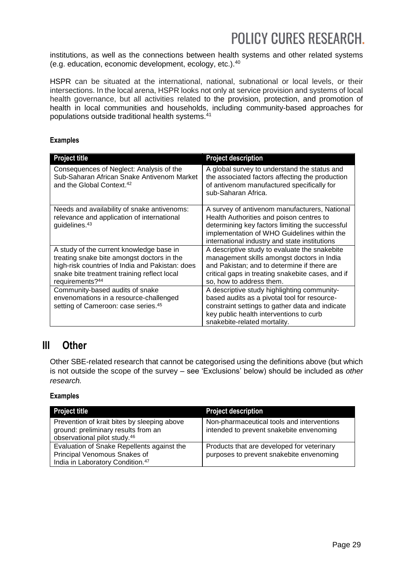institutions, as well as the connections between health systems and other related systems (e.g. education, economic development, ecology, etc.).<sup>40</sup>

HSPR can be situated at the international, national, subnational or local levels, or their intersections. In the local arena, HSPR looks not only at service provision and systems of local health governance, but all activities related to the provision, protection, and promotion of health in local communities and households, including community-based approaches for populations outside traditional health systems. 41

#### **Examples**

| <b>Project title</b>                                                                                                                                                                                        | <b>Project description</b>                                                                                                                                                                                                                   |
|-------------------------------------------------------------------------------------------------------------------------------------------------------------------------------------------------------------|----------------------------------------------------------------------------------------------------------------------------------------------------------------------------------------------------------------------------------------------|
| Consequences of Neglect: Analysis of the<br>Sub-Saharan African Snake Antivenom Market<br>and the Global Context. <sup>42</sup>                                                                             | A global survey to understand the status and<br>the associated factors affecting the production<br>of antivenom manufactured specifically for<br>sub-Saharan Africa.                                                                         |
| Needs and availability of snake antivenoms:<br>relevance and application of international<br>guidelines. <sup>43</sup>                                                                                      | A survey of antivenom manufacturers, National<br>Health Authorities and poison centres to<br>determining key factors limiting the successful<br>implementation of WHO Guidelines within the<br>international industry and state institutions |
| A study of the current knowledge base in<br>treating snake bite amongst doctors in the<br>high-risk countries of India and Pakistan: does<br>snake bite treatment training reflect local<br>requirements?44 | A descriptive study to evaluate the snakebite<br>management skills amongst doctors in India<br>and Pakistan; and to determine if there are<br>critical gaps in treating snakebite cases, and if<br>so, how to address them.                  |
| Community-based audits of snake<br>envenomations in a resource-challenged<br>setting of Cameroon: case series. <sup>45</sup>                                                                                | A descriptive study highlighting community-<br>based audits as a pivotal tool for resource-<br>constraint settings to gather data and indicate<br>key public health interventions to curb<br>snakebite-related mortality.                    |

## **III Other**

Other SBE-related research that cannot be categorised using the definitions above (but which is not outside the scope of the survey – see 'Exclusions' below) should be included as *other research.*

### **Examples**

| <b>Project title</b>                                                                                                           | <b>Project description</b>                                                             |
|--------------------------------------------------------------------------------------------------------------------------------|----------------------------------------------------------------------------------------|
| Prevention of krait bites by sleeping above<br>ground: preliminary results from an<br>observational pilot study. <sup>46</sup> | Non-pharmaceutical tools and interventions<br>intended to prevent snakebite envenoming |
| Evaluation of Snake Repellents against the<br>Principal Venomous Snakes of<br>India in Laboratory Condition. <sup>47</sup>     | Products that are developed for veterinary<br>purposes to prevent snakebite envenoming |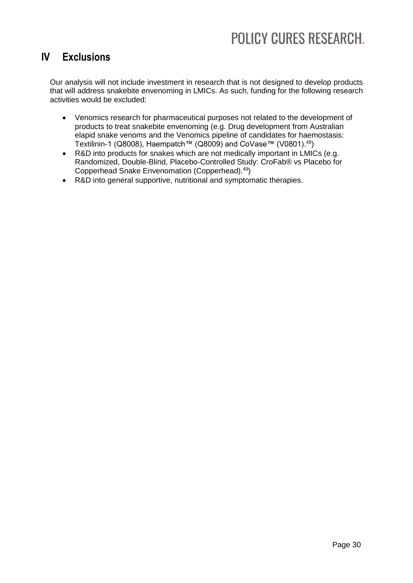## **IV Exclusions**

Our analysis will not include investment in research that is not designed to develop products that will address snakebite envenoming in LMICs. As such, funding for the following research activities would be excluded:

- Venomics research for pharmaceutical purposes not related to the development of products to treat snakebite envenoming (e.g. Drug development from Australian elapid snake venoms and the Venomics pipeline of candidates for haemostasis: Textilinin-1 (Q8008), Haempatch™ (Q8009) and CoVase™ (V0801).<sup>48</sup>)
- R&D into products for snakes which are not medically important in LMICs (e.g. Randomized, Double-Blind, Placebo-Controlled Study: CroFab® vs Placebo for Copperhead Snake Envenomation (Copperhead). 49)
- R&D into general supportive, nutritional and symptomatic therapies.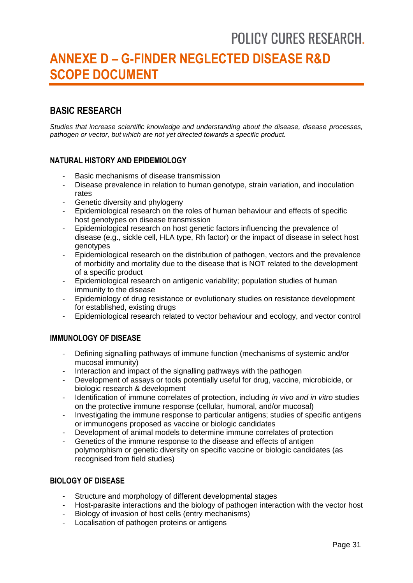## <span id="page-30-0"></span>**ANNEXE D – G-FINDER NEGLECTED DISEASE R&D SCOPE DOCUMENT**

## **BASIC RESEARCH**

*Studies that increase scientific knowledge and understanding about the disease, disease processes, pathogen or vector, but which are not yet directed towards a specific product.* 

### **NATURAL HISTORY AND EPIDEMIOLOGY**

- Basic mechanisms of disease transmission
- Disease prevalence in relation to human genotype, strain variation, and inoculation rates
- Genetic diversity and phylogeny
- Epidemiological research on the roles of human behaviour and effects of specific host genotypes on disease transmission
- Epidemiological research on host genetic factors influencing the prevalence of disease (e.g., sickle cell, HLA type, Rh factor) or the impact of disease in select host genotypes
- Epidemiological research on the distribution of pathogen, vectors and the prevalence of morbidity and mortality due to the disease that is NOT related to the development of a specific product
- Epidemiological research on antigenic variability; population studies of human immunity to the disease
- Epidemiology of drug resistance or evolutionary studies on resistance development for established, existing drugs
- Epidemiological research related to vector behaviour and ecology, and vector control

### **IMMUNOLOGY OF DISEASE**

- Defining signalling pathways of immune function (mechanisms of systemic and/or mucosal immunity)
- Interaction and impact of the signalling pathways with the pathogen
- Development of assays or tools potentially useful for drug, vaccine, microbicide, or biologic research & development
- Identification of immune correlates of protection, including *in vivo and in vitro* studies on the protective immune response (cellular, humoral, and/or mucosal)
- Investigating the immune response to particular antigens; studies of specific antigens or immunogens proposed as vaccine or biologic candidates
- Development of animal models to determine immune correlates of protection
- Genetics of the immune response to the disease and effects of antigen polymorphism or genetic diversity on specific vaccine or biologic candidates (as recognised from field studies)

### **BIOLOGY OF DISEASE**

- Structure and morphology of different developmental stages
- Host-parasite interactions and the biology of pathogen interaction with the vector host
- Biology of invasion of host cells (entry mechanisms)
- Localisation of pathogen proteins or antigens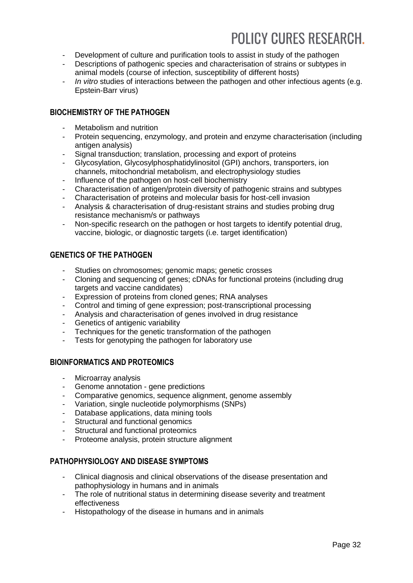- Development of culture and purification tools to assist in study of the pathogen
- Descriptions of pathogenic species and characterisation of strains or subtypes in animal models (course of infection, susceptibility of different hosts)
- In vitro studies of interactions between the pathogen and other infectious agents (e.g. Epstein-Barr virus)

## **BIOCHEMISTRY OF THE PATHOGEN**

- Metabolism and nutrition
- Protein sequencing, enzymology, and protein and enzyme characterisation (including antigen analysis)
- Signal transduction; translation, processing and export of proteins
- Glycosylation, Glycosylphosphatidylinositol (GPI) anchors, transporters, ion channels, mitochondrial metabolism, and electrophysiology studies
- Influence of the pathogen on host-cell biochemistry
- Characterisation of antigen/protein diversity of pathogenic strains and subtypes
- Characterisation of proteins and molecular basis for host-cell invasion
- Analysis & characterisation of drug-resistant strains and studies probing drug resistance mechanism/s or pathways
- Non-specific research on the pathogen or host targets to identify potential drug, vaccine, biologic, or diagnostic targets (i.e. target identification)

### **GENETICS OF THE PATHOGEN**

- Studies on chromosomes; genomic maps; genetic crosses
- Cloning and sequencing of genes; cDNAs for functional proteins (including drug targets and vaccine candidates)
- Expression of proteins from cloned genes; RNA analyses
- Control and timing of gene expression; post-transcriptional processing
- Analysis and characterisation of genes involved in drug resistance
- Genetics of antigenic variability
- Techniques for the genetic transformation of the pathogen
- Tests for genotyping the pathogen for laboratory use

## **BIOINFORMATICS AND PROTEOMICS**

- Microarray analysis
- Genome annotation gene predictions
- Comparative genomics, sequence alignment, genome assembly
- Variation, single nucleotide polymorphisms (SNPs)
- Database applications, data mining tools
- Structural and functional genomics
- Structural and functional proteomics
- Proteome analysis, protein structure alignment

### **PATHOPHYSIOLOGY AND DISEASE SYMPTOMS**

- Clinical diagnosis and clinical observations of the disease presentation and pathophysiology in humans and in animals
- The role of nutritional status in determining disease severity and treatment effectiveness
- Histopathology of the disease in humans and in animals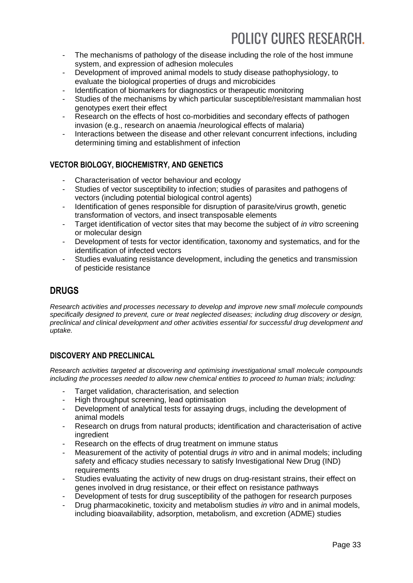- The mechanisms of pathology of the disease including the role of the host immune system, and expression of adhesion molecules
- Development of improved animal models to study disease pathophysiology, to evaluate the biological properties of drugs and microbicides
- Identification of biomarkers for diagnostics or therapeutic monitoring
- Studies of the mechanisms by which particular susceptible/resistant mammalian host genotypes exert their effect
- Research on the effects of host co-morbidities and secondary effects of pathogen invasion (e.g., research on anaemia /neurological effects of malaria)
- Interactions between the disease and other relevant concurrent infections, including determining timing and establishment of infection

## **VECTOR BIOLOGY, BIOCHEMISTRY, AND GENETICS**

- Characterisation of vector behaviour and ecology
- Studies of vector susceptibility to infection; studies of parasites and pathogens of vectors (including potential biological control agents)
- Identification of genes responsible for disruption of parasite/virus growth, genetic transformation of vectors, and insect transposable elements
- Target identification of vector sites that may become the subject of *in vitro* screening or molecular design
- Development of tests for vector identification, taxonomy and systematics, and for the identification of infected vectors
- Studies evaluating resistance development, including the genetics and transmission of pesticide resistance

## **DRUGS**

*Research activities and processes necessary to develop and improve new small molecule compounds specifically designed to prevent, cure or treat neglected diseases; including drug discovery or design, preclinical and clinical development and other activities essential for successful drug development and uptake.* 

## **DISCOVERY AND PRECLINICAL**

*Research activities targeted at discovering and optimising investigational small molecule compounds including the processes needed to allow new chemical entities to proceed to human trials; including:* 

- Target validation, characterisation, and selection
- High throughput screening, lead optimisation
- Development of analytical tests for assaying drugs, including the development of animal models
- Research on drugs from natural products; identification and characterisation of active ingredient
- Research on the effects of drug treatment on immune status
- Measurement of the activity of potential drugs *in vitro* and in animal models; including safety and efficacy studies necessary to satisfy Investigational New Drug (IND) requirements
- Studies evaluating the activity of new drugs on drug-resistant strains, their effect on genes involved in drug resistance, or their effect on resistance pathways
- Development of tests for drug susceptibility of the pathogen for research purposes
- Drug pharmacokinetic, toxicity and metabolism studies *in vitro* and in animal models, including bioavailability, adsorption, metabolism, and excretion (ADME) studies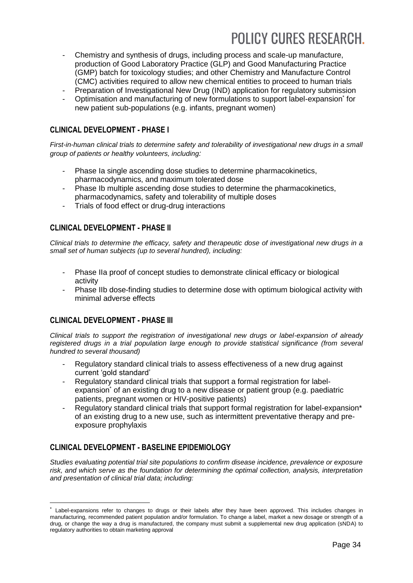- Chemistry and synthesis of drugs, including process and scale-up manufacture, production of Good Laboratory Practice (GLP) and Good Manufacturing Practice (GMP) batch for toxicology studies; and other Chemistry and Manufacture Control (CMC) activities required to allow new chemical entities to proceed to human trials
- Preparation of Investigational New Drug (IND) application for regulatory submission
- Optimisation and manufacturing of new formulations to support label-expansion\* for new patient sub-populations (e.g. infants, pregnant women)

### **CLINICAL DEVELOPMENT - PHASE I**

*First-in-human clinical trials to determine safety and tolerability of investigational new drugs in a small group of patients or healthy volunteers, including:*

- Phase Ia single ascending dose studies to determine pharmacokinetics, pharmacodynamics, and maximum tolerated dose
- Phase Ib multiple ascending dose studies to determine the pharmacokinetics, pharmacodynamics, safety and tolerability of multiple doses
- Trials of food effect or drug-drug interactions

### **CLINICAL DEVELOPMENT - PHASE II**

*Clinical trials to determine the efficacy, safety and therapeutic dose of investigational new drugs in a small set of human subjects (up to several hundred), including:*

- Phase IIa proof of concept studies to demonstrate clinical efficacy or biological activity
- Phase IIb dose-finding studies to determine dose with optimum biological activity with minimal adverse effects

### **CLINICAL DEVELOPMENT - PHASE III**

-

*Clinical trials to support the registration of investigational new drugs or label-expansion of already registered drugs in a trial population large enough to provide statistical significance (from several hundred to several thousand)*

- Regulatory standard clinical trials to assess effectiveness of a new drug against current 'gold standard'
- Regulatory standard clinical trials that support a formal registration for labelexpansion<sup>\*</sup> of an existing drug to a new disease or patient group (e.g. paediatric patients, pregnant women or HIV-positive patients)
- Regulatory standard clinical trials that support formal registration for label-expansion\* of an existing drug to a new use, such as intermittent preventative therapy and preexposure prophylaxis

## **CLINICAL DEVELOPMENT - BASELINE EPIDEMIOLOGY**

*Studies evaluating potential trial site populations to confirm disease incidence, prevalence or exposure risk, and which serve as the foundation for determining the optimal collection, analysis, interpretation and presentation of clinical trial data; including:* 

Label-expansions refer to changes to drugs or their labels after they have been approved. This includes changes in manufacturing, recommended patient population and/or formulation. To change a label, market a new dosage or strength of a drug, or change the way a drug is manufactured, the company must submit a supplemental new drug application (sNDA) to regulatory authorities to obtain marketing approval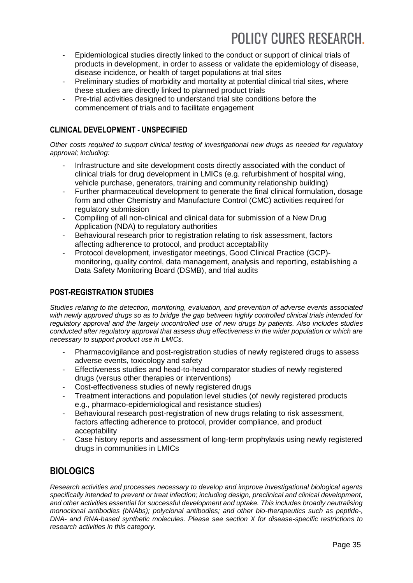- Epidemiological studies directly linked to the conduct or support of clinical trials of products in development, in order to assess or validate the epidemiology of disease, disease incidence, or health of target populations at trial sites
- Preliminary studies of morbidity and mortality at potential clinical trial sites, where these studies are directly linked to planned product trials
- Pre-trial activities designed to understand trial site conditions before the commencement of trials and to facilitate engagement

## **CLINICAL DEVELOPMENT - UNSPECIFIED**

*Other costs required to support clinical testing of investigational new drugs as needed for regulatory approval; including:* 

- Infrastructure and site development costs directly associated with the conduct of clinical trials for drug development in LMICs (e.g. refurbishment of hospital wing, vehicle purchase, generators, training and community relationship building)
- Further pharmaceutical development to generate the final clinical formulation, dosage form and other Chemistry and Manufacture Control (CMC) activities required for regulatory submission
- Compiling of all non-clinical and clinical data for submission of a New Drug Application (NDA) to regulatory authorities
- Behavioural research prior to registration relating to risk assessment, factors affecting adherence to protocol, and product acceptability
- Protocol development, investigator meetings, Good Clinical Practice (GCP) monitoring, quality control, data management, analysis and reporting, establishing a Data Safety Monitoring Board (DSMB), and trial audits

## **POST-REGISTRATION STUDIES**

*Studies relating to the detection, monitoring, evaluation, and prevention of adverse events associated with newly approved drugs so as to bridge the gap between highly controlled clinical trials intended for regulatory approval and the largely uncontrolled use of new drugs by patients. Also includes studies conducted after regulatory approval that assess drug effectiveness in the wider population or which are necessary to support product use in LMICs.* 

- Pharmacovigilance and post-registration studies of newly registered drugs to assess adverse events, toxicology and safety
- Effectiveness studies and head-to-head comparator studies of newly registered drugs (versus other therapies or interventions)
- Cost-effectiveness studies of newly registered drugs
- Treatment interactions and population level studies (of newly registered products e.g., pharmaco-epidemiological and resistance studies)
- Behavioural research post-registration of new drugs relating to risk assessment, factors affecting adherence to protocol, provider compliance, and product acceptability
- Case history reports and assessment of long-term prophylaxis using newly registered drugs in communities in LMICs

## **BIOLOGICS**

*Research activities and processes necessary to develop and improve investigational biological agents specifically intended to prevent or treat infection; including design, preclinical and clinical development, and other activities essential for successful development and uptake. This includes broadly neutralising monoclonal antibodies (bNAbs); polyclonal antibodies; and other bio-therapeutics such as peptide-, DNA- and RNA-based synthetic molecules. Please see section X for disease-specific restrictions to research activities in this category.*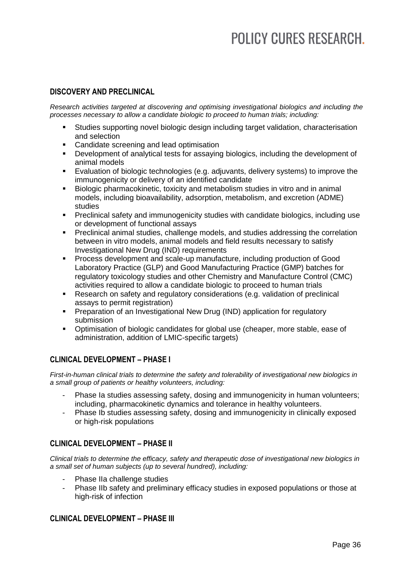### **DISCOVERY AND PRECLINICAL**

*Research activities targeted at discovering and optimising investigational biologics and including the processes necessary to allow a candidate biologic to proceed to human trials; including:*

- Studies supporting novel biologic design including target validation, characterisation and selection
- **•** Candidate screening and lead optimisation
- Development of analytical tests for assaying biologics, including the development of animal models
- Evaluation of biologic technologies (e.g. adjuvants, delivery systems) to improve the immunogenicity or delivery of an identified candidate
- Biologic pharmacokinetic, toxicity and metabolism studies in vitro and in animal models, including bioavailability, adsorption, metabolism, and excretion (ADME) studies
- Preclinical safety and immunogenicity studies with candidate biologics, including use or development of functional assays
- **Preclinical animal studies, challenge models, and studies addressing the correlation** between in vitro models, animal models and field results necessary to satisfy Investigational New Drug (IND) requirements
- **Process development and scale-up manufacture, including production of Good** Laboratory Practice (GLP) and Good Manufacturing Practice (GMP) batches for regulatory toxicology studies and other Chemistry and Manufacture Control (CMC) activities required to allow a candidate biologic to proceed to human trials
- Research on safety and regulatory considerations (e.g. validation of preclinical assays to permit registration)
- **Preparation of an Investigational New Drug (IND) application for regulatory** submission
- Optimisation of biologic candidates for global use (cheaper, more stable, ease of administration, addition of LMIC-specific targets)

## **CLINICAL DEVELOPMENT – PHASE I**

*First-in-human clinical trials to determine the safety and tolerability of investigational new biologics in a small group of patients or healthy volunteers, including:*

- Phase Ia studies assessing safety, dosing and immunogenicity in human volunteers; including, pharmacokinetic dynamics and tolerance in healthy volunteers.
- Phase Ib studies assessing safety, dosing and immunogenicity in clinically exposed or high-risk populations

## **CLINICAL DEVELOPMENT – PHASE II**

*Clinical trials to determine the efficacy, safety and therapeutic dose of investigational new biologics in a small set of human subjects (up to several hundred), including:*

- Phase IIa challenge studies
- Phase IIb safety and preliminary efficacy studies in exposed populations or those at high-risk of infection

### **CLINICAL DEVELOPMENT – PHASE III**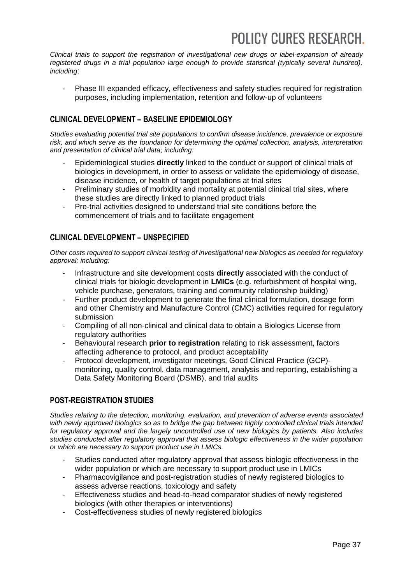*Clinical trials to support the registration of investigational new drugs or label-expansion of already*  registered drugs in a trial population large enough to provide statistical (typically several hundred), *including*:

- Phase III expanded efficacy, effectiveness and safety studies required for registration purposes, including implementation, retention and follow-up of volunteers

## **CLINICAL DEVELOPMENT – BASELINE EPIDEMIOLOGY**

*Studies evaluating potential trial site populations to confirm disease incidence, prevalence or exposure risk, and which serve as the foundation for determining the optimal collection, analysis, interpretation and presentation of clinical trial data; including:* 

- Epidemiological studies **directly** linked to the conduct or support of clinical trials of biologics in development, in order to assess or validate the epidemiology of disease, disease incidence, or health of target populations at trial sites
- Preliminary studies of morbidity and mortality at potential clinical trial sites, where these studies are directly linked to planned product trials
- Pre-trial activities designed to understand trial site conditions before the commencement of trials and to facilitate engagement

## **CLINICAL DEVELOPMENT – UNSPECIFIED**

*Other costs required to support clinical testing of investigational new biologics as needed for regulatory approval; including:* 

- Infrastructure and site development costs **directly** associated with the conduct of clinical trials for biologic development in **LMICs** (e.g. refurbishment of hospital wing, vehicle purchase, generators, training and community relationship building)
- Further product development to generate the final clinical formulation, dosage form and other Chemistry and Manufacture Control (CMC) activities required for regulatory submission
- Compiling of all non-clinical and clinical data to obtain a Biologics License from regulatory authorities
- Behavioural research **prior to registration** relating to risk assessment, factors affecting adherence to protocol, and product acceptability
- Protocol development, investigator meetings, Good Clinical Practice (GCP) monitoring, quality control, data management, analysis and reporting, establishing a Data Safety Monitoring Board (DSMB), and trial audits

## **POST-REGISTRATION STUDIES**

*Studies relating to the detection, monitoring, evaluation, and prevention of adverse events associated with newly approved biologics so as to bridge the gap between highly controlled clinical trials intended for regulatory approval and the largely uncontrolled use of new biologics by patients. Also includes studies conducted after regulatory approval that assess biologic effectiveness in the wider population or which are necessary to support product use in LMICs.*

- Studies conducted after regulatory approval that assess biologic effectiveness in the wider population or which are necessary to support product use in LMICs
- Pharmacovigilance and post-registration studies of newly registered biologics to assess adverse reactions, toxicology and safety
- Effectiveness studies and head-to-head comparator studies of newly registered biologics (with other therapies or interventions)
- Cost-effectiveness studies of newly registered biologics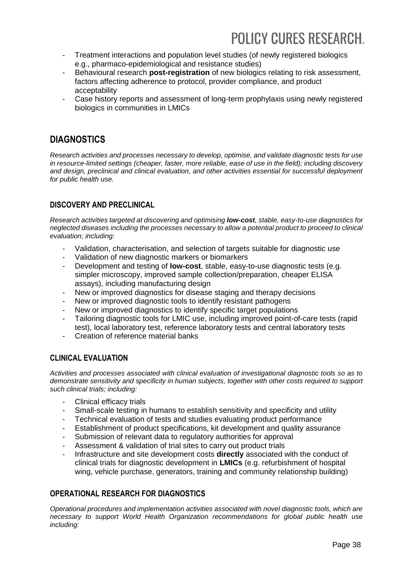- Treatment interactions and population level studies (of newly registered biologics e.g., pharmaco-epidemiological and resistance studies)
- Behavioural research **post-registration** of new biologics relating to risk assessment, factors affecting adherence to protocol, provider compliance, and product acceptability
- Case history reports and assessment of long-term prophylaxis using newly registered biologics in communities in LMICs

## **DIAGNOSTICS**

*Research activities and processes necessary to develop, optimise, and validate diagnostic tests for use in resource-limited settings (cheaper, faster, more reliable, ease of use in the field); including discovery and design, preclinical and clinical evaluation, and other activities essential for successful deployment for public health use.* 

## **DISCOVERY AND PRECLINICAL**

*Research activities targeted at discovering and optimising low-cost, stable, easy-to-use diagnostics for neglected diseases including the processes necessary to allow a potential product to proceed to clinical evaluation; including:* 

- Validation, characterisation, and selection of targets suitable for diagnostic use
- Validation of new diagnostic markers or biomarkers
- Development and testing of **low-cost**, stable, easy-to-use diagnostic tests (e.g. simpler microscopy, improved sample collection/preparation, cheaper ELISA assays), including manufacturing design
- New or improved diagnostics for disease staging and therapy decisions
- New or improved diagnostic tools to identify resistant pathogens
- New or improved diagnostics to identify specific target populations
- Tailoring diagnostic tools for LMIC use, including improved point-of-care tests (rapid test), local laboratory test, reference laboratory tests and central laboratory tests
- Creation of reference material banks

## **CLINICAL EVALUATION**

*Activities and processes associated with clinical evaluation of investigational diagnostic tools so as to demonstrate sensitivity and specificity in human subjects, together with other costs required to support such clinical trials; including:* 

- Clinical efficacy trials
- Small-scale testing in humans to establish sensitivity and specificity and utility
- Technical evaluation of tests and studies evaluating product performance
- Establishment of product specifications, kit development and quality assurance
- Submission of relevant data to regulatory authorities for approval
- Assessment & validation of trial sites to carry out product trials
- Infrastructure and site development costs **directly** associated with the conduct of clinical trials for diagnostic development in **LMICs** (e.g. refurbishment of hospital wing, vehicle purchase, generators, training and community relationship building)

## **OPERATIONAL RESEARCH FOR DIAGNOSTICS**

*Operational procedures and implementation activities associated with novel diagnostic tools, which are necessary to support World Health Organization recommendations for global public health use including:*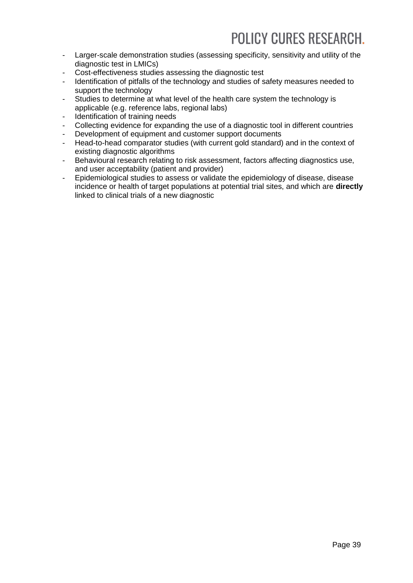- Larger-scale demonstration studies (assessing specificity, sensitivity and utility of the diagnostic test in LMICs)
- Cost-effectiveness studies assessing the diagnostic test
- Identification of pitfalls of the technology and studies of safety measures needed to support the technology
- Studies to determine at what level of the health care system the technology is applicable (e.g. reference labs, regional labs)
- Identification of training needs
- Collecting evidence for expanding the use of a diagnostic tool in different countries
- Development of equipment and customer support documents
- Head-to-head comparator studies (with current gold standard) and in the context of existing diagnostic algorithms
- Behavioural research relating to risk assessment, factors affecting diagnostics use, and user acceptability (patient and provider)
- Epidemiological studies to assess or validate the epidemiology of disease, disease incidence or health of target populations at potential trial sites, and which are **directly** linked to clinical trials of a new diagnostic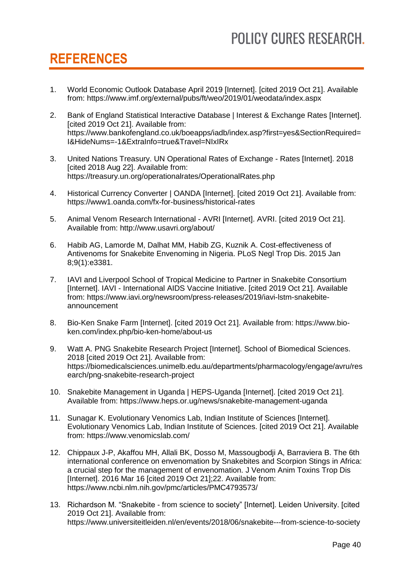## <span id="page-39-0"></span>**REFERENCES**

- 1. World Economic Outlook Database April 2019 [Internet]. [cited 2019 Oct 21]. Available from: https://www.imf.org/external/pubs/ft/weo/2019/01/weodata/index.aspx
- 2. Bank of England Statistical Interactive Database | Interest & Exchange Rates [Internet]. [cited 2019 Oct 21]. Available from: https://www.bankofengland.co.uk/boeapps/iadb/index.asp?first=yes&SectionRequired= I&HideNums=-1&ExtraInfo=true&Travel=NIxIRx
- 3. United Nations Treasury. UN Operational Rates of Exchange Rates [Internet]. 2018 [cited 2018 Aug 22]. Available from: https://treasury.un.org/operationalrates/OperationalRates.php
- 4. Historical Currency Converter | OANDA [Internet]. [cited 2019 Oct 21]. Available from: https://www1.oanda.com/fx-for-business/historical-rates
- 5. Animal Venom Research International AVRI [Internet]. AVRI. [cited 2019 Oct 21]. Available from: http://www.usavri.org/about/
- 6. Habib AG, Lamorde M, Dalhat MM, Habib ZG, Kuznik A. Cost-effectiveness of Antivenoms for Snakebite Envenoming in Nigeria. PLoS Negl Trop Dis. 2015 Jan 8;9(1):e3381.
- 7. IAVI and Liverpool School of Tropical Medicine to Partner in Snakebite Consortium [Internet]. IAVI - International AIDS Vaccine Initiative. [cited 2019 Oct 21]. Available from: https://www.iavi.org/newsroom/press-releases/2019/iavi-lstm-snakebiteannouncement
- 8. Bio-Ken Snake Farm [Internet]. [cited 2019 Oct 21]. Available from: https://www.bioken.com/index.php/bio-ken-home/about-us
- 9. Watt A. PNG Snakebite Research Project [Internet]. School of Biomedical Sciences. 2018 [cited 2019 Oct 21]. Available from: https://biomedicalsciences.unimelb.edu.au/departments/pharmacology/engage/avru/res earch/png-snakebite-research-project
- 10. Snakebite Management in Uganda | HEPS-Uganda [Internet]. [cited 2019 Oct 21]. Available from: https://www.heps.or.ug/news/snakebite-management-uganda
- 11. Sunagar K. Evolutionary Venomics Lab, Indian Institute of Sciences [Internet]. Evolutionary Venomics Lab, Indian Institute of Sciences. [cited 2019 Oct 21]. Available from: https://www.venomicslab.com/
- 12. Chippaux J-P, Akaffou MH, Allali BK, Dosso M, Massougbodji A, Barraviera B. The 6th international conference on envenomation by Snakebites and Scorpion Stings in Africa: a crucial step for the management of envenomation. J Venom Anim Toxins Trop Dis [Internet]. 2016 Mar 16 [cited 2019 Oct 21];22. Available from: https://www.ncbi.nlm.nih.gov/pmc/articles/PMC4793573/
- 13. Richardson M. "Snakebite from science to society" [Internet]. Leiden University. [cited 2019 Oct 21]. Available from: https://www.universiteitleiden.nl/en/events/2018/06/snakebite---from-science-to-society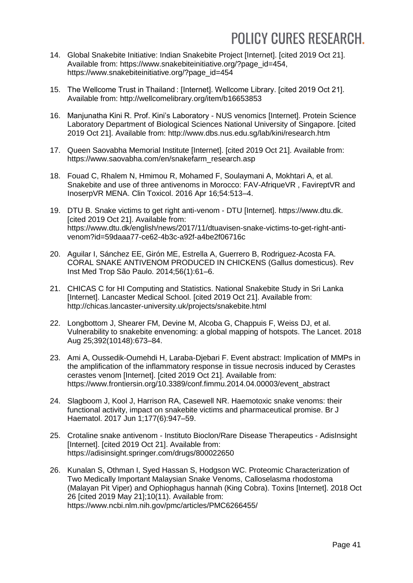- 14. Global Snakebite Initiative: Indian Snakebite Project [Internet]. [cited 2019 Oct 21]. Available from: https://www.snakebiteinitiative.org/?page\_id=454, https://www.snakebiteinitiative.org/?page\_id=454
- 15. The Wellcome Trust in Thailand : [Internet]. Wellcome Library. [cited 2019 Oct 21]. Available from: http://wellcomelibrary.org/item/b16653853
- 16. Manjunatha Kini R. Prof. Kini's Laboratory NUS venomics [Internet]. Protein Science Laboratory Department of Biological Sciences National University of Singapore. [cited 2019 Oct 21]. Available from: http://www.dbs.nus.edu.sg/lab/kini/research.htm
- 17. Queen Saovabha Memorial Institute [Internet]. [cited 2019 Oct 21]. Available from: https://www.saovabha.com/en/snakefarm\_research.asp
- 18. Fouad C, Rhalem N, Hmimou R, Mohamed F, Soulaymani A, Mokhtari A, et al. Snakebite and use of three antivenoms in Morocco: FAV-AfriqueVR , FavireptVR and InoserpVR MENA. Clin Toxicol. 2016 Apr 16;54:513–4.
- 19. DTU B. Snake victims to get right anti-venom DTU [Internet]. https://www.dtu.dk. [cited 2019 Oct 21]. Available from: https://www.dtu.dk/english/news/2017/11/dtuavisen-snake-victims-to-get-right-antivenom?id=59daaa77-ce62-4b3c-a92f-a4be2f06716c
- 20. Aguilar I, Sánchez EE, Girón ME, Estrella A, Guerrero B, Rodriguez-Acosta FA. CORAL SNAKE ANTIVENOM PRODUCED IN CHICKENS (Gallus domesticus). Rev Inst Med Trop São Paulo. 2014;56(1):61–6.
- 21. CHICAS C for HI Computing and Statistics. National Snakebite Study in Sri Lanka [Internet]. Lancaster Medical School. [cited 2019 Oct 21]. Available from: http://chicas.lancaster-university.uk/projects/snakebite.html
- 22. Longbottom J, Shearer FM, Devine M, Alcoba G, Chappuis F, Weiss DJ, et al. Vulnerability to snakebite envenoming: a global mapping of hotspots. The Lancet. 2018 Aug 25;392(10148):673–84.
- 23. Ami A, Oussedik-Oumehdi H, Laraba-Djebari F. Event abstract: Implication of MMPs in the amplification of the inflammatory response in tissue necrosis induced by Cerastes cerastes venom [Internet]. [cited 2019 Oct 21]. Available from: https://www.frontiersin.org/10.3389/conf.fimmu.2014.04.00003/event\_abstract
- 24. Slagboom J, Kool J, Harrison RA, Casewell NR. Haemotoxic snake venoms: their functional activity, impact on snakebite victims and pharmaceutical promise. Br J Haematol. 2017 Jun 1;177(6):947–59.
- 25. Crotaline snake antivenom Instituto Bioclon/Rare Disease Therapeutics AdisInsight [Internet]. [cited 2019 Oct 21]. Available from: https://adisinsight.springer.com/drugs/800022650
- 26. Kunalan S, Othman I, Syed Hassan S, Hodgson WC. Proteomic Characterization of Two Medically Important Malaysian Snake Venoms, Calloselasma rhodostoma (Malayan Pit Viper) and Ophiophagus hannah (King Cobra). Toxins [Internet]. 2018 Oct 26 [cited 2019 May 21];10(11). Available from: https://www.ncbi.nlm.nih.gov/pmc/articles/PMC6266455/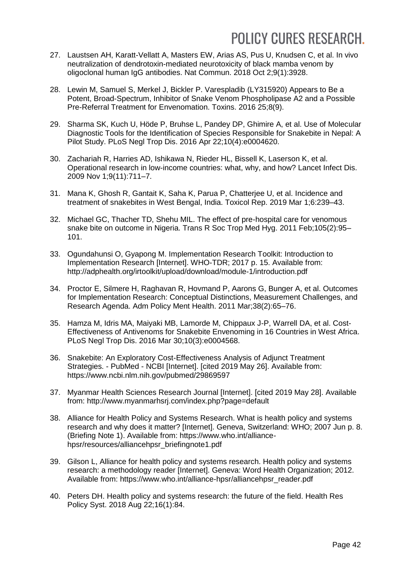- 27. Laustsen AH, Karatt-Vellatt A, Masters EW, Arias AS, Pus U, Knudsen C, et al. In vivo neutralization of dendrotoxin-mediated neurotoxicity of black mamba venom by oligoclonal human IgG antibodies. Nat Commun. 2018 Oct 2;9(1):3928.
- 28. Lewin M, Samuel S, Merkel J, Bickler P. Varespladib (LY315920) Appears to Be a Potent, Broad-Spectrum, Inhibitor of Snake Venom Phospholipase A2 and a Possible Pre-Referral Treatment for Envenomation. Toxins. 2016 25;8(9).
- 29. Sharma SK, Kuch U, Höde P, Bruhse L, Pandey DP, Ghimire A, et al. Use of Molecular Diagnostic Tools for the Identification of Species Responsible for Snakebite in Nepal: A Pilot Study. PLoS Negl Trop Dis. 2016 Apr 22;10(4):e0004620.
- 30. Zachariah R, Harries AD, Ishikawa N, Rieder HL, Bissell K, Laserson K, et al. Operational research in low-income countries: what, why, and how? Lancet Infect Dis. 2009 Nov 1;9(11):711–7.
- 31. Mana K, Ghosh R, Gantait K, Saha K, Parua P, Chatterjee U, et al. Incidence and treatment of snakebites in West Bengal, India. Toxicol Rep. 2019 Mar 1;6:239–43.
- 32. Michael GC, Thacher TD, Shehu MIL. The effect of pre-hospital care for venomous snake bite on outcome in Nigeria. Trans R Soc Trop Med Hyg. 2011 Feb;105(2):95– 101.
- 33. Ogundahunsi O, Gyapong M. Implementation Research Toolkit: Introduction to Implementation Research [Internet]. WHO-TDR; 2017 p. 15. Available from: http://adphealth.org/irtoolkit/upload/download/module-1/introduction.pdf
- 34. Proctor E, Silmere H, Raghavan R, Hovmand P, Aarons G, Bunger A, et al. Outcomes for Implementation Research: Conceptual Distinctions, Measurement Challenges, and Research Agenda. Adm Policy Ment Health. 2011 Mar;38(2):65–76.
- 35. Hamza M, Idris MA, Maiyaki MB, Lamorde M, Chippaux J-P, Warrell DA, et al. Cost-Effectiveness of Antivenoms for Snakebite Envenoming in 16 Countries in West Africa. PLoS Negl Trop Dis. 2016 Mar 30;10(3):e0004568.
- 36. Snakebite: An Exploratory Cost-Effectiveness Analysis of Adjunct Treatment Strategies. - PubMed - NCBI [Internet]. [cited 2019 May 26]. Available from: https://www.ncbi.nlm.nih.gov/pubmed/29869597
- 37. Myanmar Health Sciences Research Journal [Internet]. [cited 2019 May 28]. Available from: http://www.myanmarhsrj.com/index.php?page=default
- 38. Alliance for Health Policy and Systems Research. What is health policy and systems research and why does it matter? [Internet]. Geneva, Switzerland: WHO; 2007 Jun p. 8. (Briefing Note 1). Available from: https://www.who.int/alliancehpsr/resources/alliancehpsr\_briefingnote1.pdf
- 39. Gilson L, Alliance for health policy and systems research. Health policy and systems research: a methodology reader [Internet]. Geneva: Word Health Organization; 2012. Available from: https://www.who.int/alliance-hpsr/alliancehpsr\_reader.pdf
- 40. Peters DH. Health policy and systems research: the future of the field. Health Res Policy Syst. 2018 Aug 22;16(1):84.